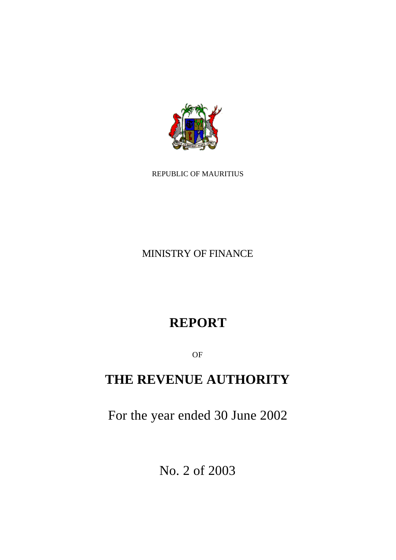

REPUBLIC OF MAURITIUS

MINISTRY OF FINANCE

# **REPORT**

OF

# **THE REVENUE AUTHORITY**

For the year ended 30 June 2002

No. 2 of 2003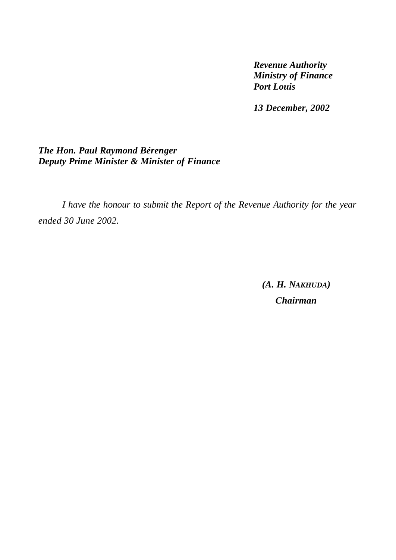*Revenue Authority Ministry of Finance Port Louis*

*13 December, 2002*

### *The Hon. Paul Raymond Bérenger Deputy Prime Minister & Minister of Finance*

*I have the honour to submit the Report of the Revenue Authority for the year ended 30 June 2002.*

> *(A. H. NAKHUDA) Chairman*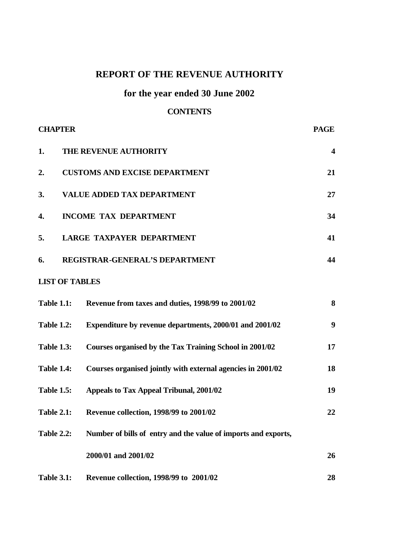### **REPORT OF THE REVENUE AUTHORITY**

## **for the year ended 30 June 2002**

### **CONTENTS**

| <b>CHAPTER</b>        |                                                                | <b>PAGE</b>             |
|-----------------------|----------------------------------------------------------------|-------------------------|
| 1.                    | THE REVENUE AUTHORITY                                          | $\overline{\mathbf{4}}$ |
| 2.                    | <b>CUSTOMS AND EXCISE DEPARTMENT</b>                           | 21                      |
| 3.                    | <b>VALUE ADDED TAX DEPARTMENT</b>                              | 27                      |
| 4.                    | <b>INCOME TAX DEPARTMENT</b>                                   | 34                      |
| 5.                    | <b>LARGE TAXPAYER DEPARTMENT</b>                               | 41                      |
| 6.                    | <b>REGISTRAR-GENERAL'S DEPARTMENT</b>                          | 44                      |
| <b>LIST OF TABLES</b> |                                                                |                         |
| <b>Table 1.1:</b>     | Revenue from taxes and duties, 1998/99 to 2001/02              | 8                       |
| <b>Table 1.2:</b>     | Expenditure by revenue departments, 2000/01 and 2001/02        | 9                       |
| <b>Table 1.3:</b>     | Courses organised by the Tax Training School in 2001/02        | 17                      |
| <b>Table 1.4:</b>     | Courses organised jointly with external agencies in 2001/02    | 18                      |
| <b>Table 1.5:</b>     | Appeals to Tax Appeal Tribunal, 2001/02                        | 19                      |
| <b>Table 2.1:</b>     | Revenue collection, 1998/99 to 2001/02                         | 22                      |
| <b>Table 2.2:</b>     | Number of bills of entry and the value of imports and exports, |                         |
|                       | 2000/01 and 2001/02                                            | 26                      |
| <b>Table 3.1:</b>     | Revenue collection, 1998/99 to 2001/02                         | 28                      |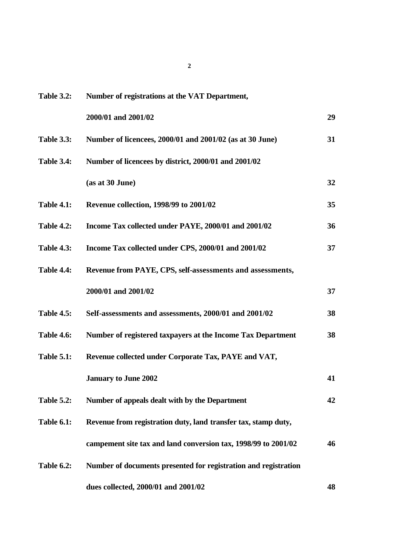| <b>Table 3.2:</b> | Number of registrations at the VAT Department,                  |    |
|-------------------|-----------------------------------------------------------------|----|
|                   | 2000/01 and 2001/02                                             | 29 |
| <b>Table 3.3:</b> | Number of licencees, 2000/01 and 2001/02 (as at 30 June)        | 31 |
| <b>Table 3.4:</b> | Number of licencees by district, 2000/01 and 2001/02            |    |
|                   | (as at 30 June)                                                 | 32 |
| <b>Table 4.1:</b> | Revenue collection, 1998/99 to 2001/02                          | 35 |
| <b>Table 4.2:</b> | Income Tax collected under PAYE, 2000/01 and 2001/02            | 36 |
| <b>Table 4.3:</b> | Income Tax collected under CPS, 2000/01 and 2001/02             | 37 |
| <b>Table 4.4:</b> | Revenue from PAYE, CPS, self-assessments and assessments,       |    |
|                   | 2000/01 and 2001/02                                             | 37 |
| <b>Table 4.5:</b> | Self-assessments and assessments, 2000/01 and 2001/02           | 38 |
| <b>Table 4.6:</b> | Number of registered taxpayers at the Income Tax Department     | 38 |
| <b>Table 5.1:</b> | Revenue collected under Corporate Tax, PAYE and VAT,            |    |
|                   | <b>January to June 2002</b>                                     | 41 |
| <b>Table 5.2:</b> | Number of appeals dealt with by the Department                  | 42 |
| Table 6.1:        | Revenue from registration duty, land transfer tax, stamp duty,  |    |
|                   | campement site tax and land conversion tax, 1998/99 to 2001/02  | 46 |
| <b>Table 6.2:</b> | Number of documents presented for registration and registration |    |
|                   | dues collected, 2000/01 and 2001/02                             | 48 |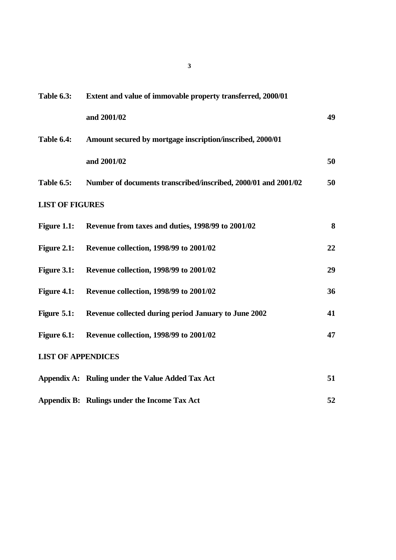| <b>Table 6.3:</b>         | Extent and value of immovable property transferred, 2000/01    |    |
|---------------------------|----------------------------------------------------------------|----|
|                           | and 2001/02                                                    | 49 |
| Table 6.4:                | Amount secured by mortgage inscription/inscribed, 2000/01      |    |
|                           | and 2001/02                                                    | 50 |
| <b>Table 6.5:</b>         | Number of documents transcribed/inscribed, 2000/01 and 2001/02 | 50 |
| <b>LIST OF FIGURES</b>    |                                                                |    |
| <b>Figure 1.1:</b>        | Revenue from taxes and duties, 1998/99 to 2001/02              | 8  |
| Figure 2.1:               | Revenue collection, 1998/99 to 2001/02                         | 22 |
| Figure 3.1:               | Revenue collection, 1998/99 to 2001/02                         | 29 |
| Figure 4.1:               | Revenue collection, 1998/99 to 2001/02                         | 36 |
| Figure 5.1:               | Revenue collected during period January to June 2002           | 41 |
| Figure 6.1:               | Revenue collection, 1998/99 to 2001/02                         | 47 |
| <b>LIST OF APPENDICES</b> |                                                                |    |
|                           | Appendix A: Ruling under the Value Added Tax Act               | 51 |
|                           | Appendix B: Rulings under the Income Tax Act                   | 52 |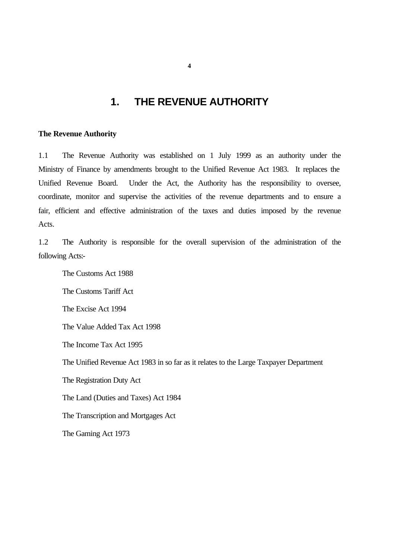### **1. THE REVENUE AUTHORITY**

#### **The Revenue Authority**

1.1 The Revenue Authority was established on 1 July 1999 as an authority under the Ministry of Finance by amendments brought to the Unified Revenue Act 1983. It replaces the Unified Revenue Board. Under the Act, the Authority has the responsibility to oversee, coordinate, monitor and supervise the activities of the revenue departments and to ensure a fair, efficient and effective administration of the taxes and duties imposed by the revenue Acts.

1.2 The Authority is responsible for the overall supervision of the administration of the following Acts:-

The Customs Act 1988 The Customs Tariff Act The Excise Act 1994 The Value Added Tax Act 1998 The Income Tax Act 1995 The Unified Revenue Act 1983 in so far as it relates to the Large Taxpayer Department The Registration Duty Act The Land (Duties and Taxes) Act 1984 The Transcription and Mortgages Act

The Gaming Act 1973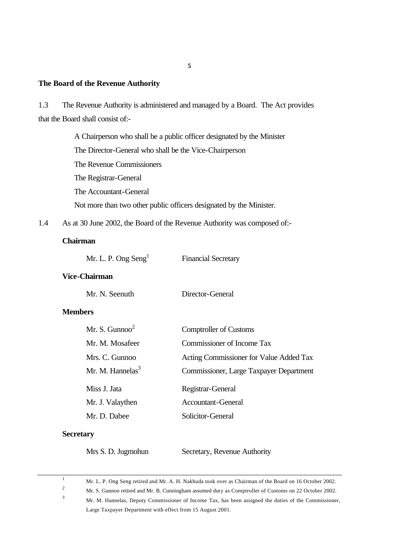#### **The Board of the Revenue Authority**

1.3 The Revenue Authority is administered and managed by a Board. The Act provides that the Board shall consist of:-

> A Chairperson who shall be a public officer designated by the Minister The Director-General who shall be the Vice-Chairperson The Revenue Commissioners The Registrar-General The Accountant-General Not more than two other public officers designated by the Minister.

1.4 As at 30 June 2002, the Board of the Revenue Authority was composed of:-

#### **Chairman**

|  | Mr. L. P. Ong $SengT$ | <b>Financial Secretary</b> |
|--|-----------------------|----------------------------|
|  |                       |                            |

#### **Vice-Chairman**

Mr. N. Seenuth Director-General

#### **Members**

| Mr. S. Gunnoo <sup>2</sup> | <b>Comptroller of Customs</b>           |
|----------------------------|-----------------------------------------|
| Mr. M. Mosafeer            | Commissioner of Income Tax              |
| Mrs. C. Gunnoo             | Acting Commissioner for Value Added Tax |
| Mr. M. Hannelas $3$        | Commissioner, Large Taxpayer Department |
|                            |                                         |
| Miss J. Jata               | Registrar-General                       |
| Mr. J. Valaythen           | Accountant-General                      |
| Mr. D. Dabee               | Solicitor-General                       |

### **Secretary**

L

Mrs S. D. Jugmohun Secretary, Revenue Authority

|   | Mr. L. P. Ong Seng retired and Mr. A. H. Nakhuda took over as Chairman of the Board on 16 October 2002. |
|---|---------------------------------------------------------------------------------------------------------|
|   | Mr. S. Gunnoo retired and Mr. B. Cunningham assumed duty as Comptroller of Customs on 22 October 2002.  |
| 3 | Mr. M. Hannelas, Deputy Commissioner of Income Tax, has been assigned the duties of the Commissioner,   |
|   | Large Taxpayer Department with effect from 15 August 2001.                                              |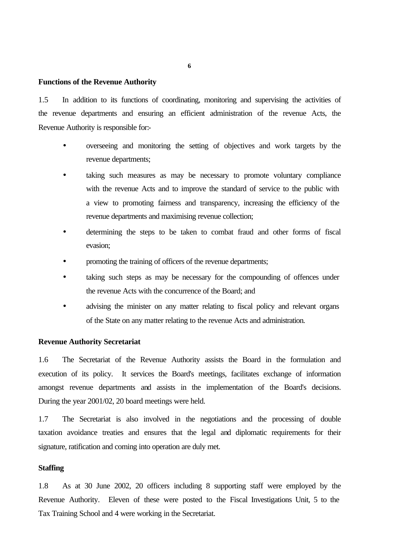#### **Functions of the Revenue Authority**

1.5 In addition to its functions of coordinating, monitoring and supervising the activities of the revenue departments and ensuring an efficient administration of the revenue Acts, the Revenue Authority is responsible for:-

- overseeing and monitoring the setting of objectives and work targets by the revenue departments;
- taking such measures as may be necessary to promote voluntary compliance with the revenue Acts and to improve the standard of service to the public with a view to promoting fairness and transparency, increasing the efficiency of the revenue departments and maximising revenue collection;
- determining the steps to be taken to combat fraud and other forms of fiscal evasion;
- promoting the training of officers of the revenue departments;
- taking such steps as may be necessary for the compounding of offences under the revenue Acts with the concurrence of the Board; and
- advising the minister on any matter relating to fiscal policy and relevant organs of the State on any matter relating to the revenue Acts and administration.

#### **Revenue Authority Secretariat**

1.6 The Secretariat of the Revenue Authority assists the Board in the formulation and execution of its policy. It services the Board's meetings, facilitates exchange of information amongst revenue departments and assists in the implementation of the Board's decisions. During the year 2001/02, 20 board meetings were held.

1.7 The Secretariat is also involved in the negotiations and the processing of double taxation avoidance treaties and ensures that the legal and diplomatic requirements for their signature, ratification and coming into operation are duly met.

#### **Staffing**

1.8 As at 30 June 2002, 20 officers including 8 supporting staff were employed by the Revenue Authority. Eleven of these were posted to the Fiscal Investigations Unit, 5 to the Tax Training School and 4 were working in the Secretariat.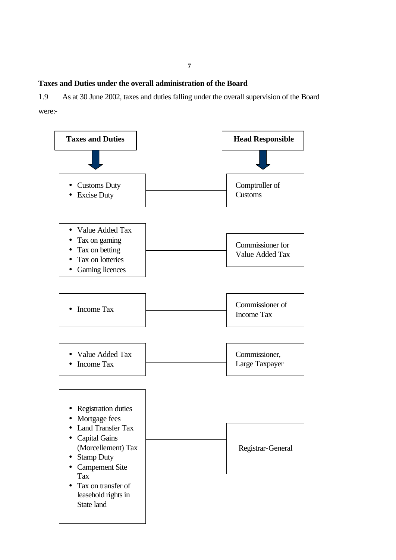**Taxes and Duties under the overall administration of the Board**

1.9 As at 30 June 2002, taxes and duties falling under the overall supervision of the Board were:-

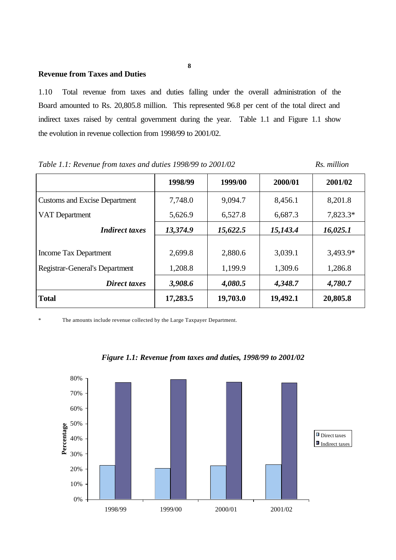#### **Revenue from Taxes and Duties**

1.10 Total revenue from taxes and duties falling under the overall administration of the Board amounted to Rs. 20,805.8 million. This represented 96.8 per cent of the total direct and indirect taxes raised by central government during the year. Table 1.1 and Figure 1.1 show the evolution in revenue collection from 1998/99 to 2001/02.

|  | Table 1.1: Revenue from taxes and duties 1998/99 to 2001/02 |  | Rs. million |
|--|-------------------------------------------------------------|--|-------------|
|  |                                                             |  |             |

|                                       | 1998/99  | 1999/00  | 2000/01  | 2001/02  |
|---------------------------------------|----------|----------|----------|----------|
| <b>Customs and Excise Department</b>  | 7,748.0  | 9,094.7  | 8,456.1  | 8,201.8  |
| <b>VAT Department</b>                 | 5,626.9  | 6,527.8  | 6,687.3  | 7,823.3* |
| <b>Indirect taxes</b>                 | 13,374.9 | 15,622.5 | 15,143.4 | 16,025.1 |
|                                       |          |          |          |          |
| Income Tax Department                 | 2,699.8  | 2,880.6  | 3,039.1  | 3,493.9* |
| <b>Registrar-General's Department</b> | 1,208.8  | 1,199.9  | 1,309.6  | 1,286.8  |
| Direct taxes                          | 3,908.6  | 4,080.5  | 4,348.7  | 4,780.7  |
| <b>Total</b>                          | 17,283.5 | 19,703.0 | 19,492.1 | 20,805.8 |

\* The amounts include revenue collected by the Large Taxpayer Department.



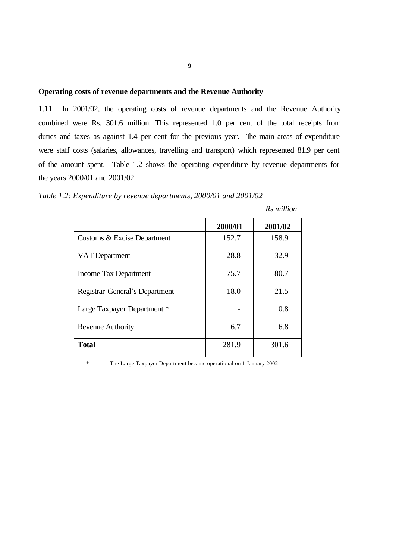#### **Operating costs of revenue departments and the Revenue Authority**

1.11 In 2001/02, the operating costs of revenue departments and the Revenue Authority combined were Rs. 301.6 million. This represented 1.0 per cent of the total receipts from duties and taxes as against 1.4 per cent for the previous year. The main areas of expenditure were staff costs (salaries, allowances, travelling and transport) which represented 81.9 per cent of the amount spent. Table 1.2 shows the operating expenditure by revenue departments for the years 2000/01 and 2001/02.

*Table 1.2: Expenditure by revenue departments, 2000/01 and 2001/02*

|                                | 2000/01 | 2001/02 |
|--------------------------------|---------|---------|
| Customs & Excise Department    | 152.7   | 158.9   |
| VAT Department                 | 28.8    | 32.9    |
| Income Tax Department          | 75.7    | 80.7    |
| Registrar-General's Department | 18.0    | 21.5    |
| Large Taxpayer Department *    |         | 0.8     |
| Revenue Authority              | 6.7     | 6.8     |
| <b>Total</b>                   | 281.9   | 301.6   |
|                                |         |         |

 *Rs million*

\* The Large Taxpayer Department became operational on 1 January 2002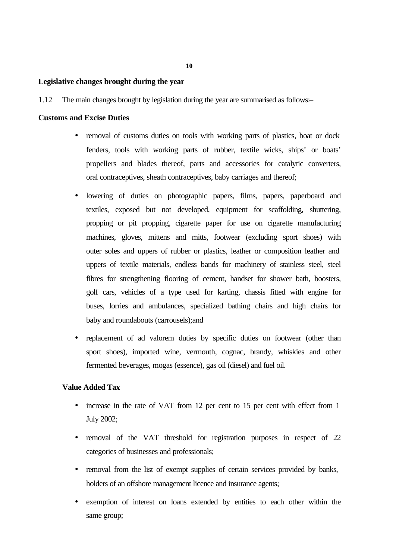#### **10**

#### **Legislative changes brought during the year**

1.12 The main changes brought by legislation during the year are summarised as follows:–

#### **Customs and Excise Duties**

- removal of customs duties on tools with working parts of plastics, boat or dock fenders, tools with working parts of rubber, textile wicks, ships' or boats' propellers and blades thereof, parts and accessories for catalytic converters, oral contraceptives, sheath contraceptives, baby carriages and thereof;
- lowering of duties on photographic papers, films, papers, paperboard and textiles, exposed but not developed, equipment for scaffolding, shuttering, propping or pit propping, cigarette paper for use on cigarette manufacturing machines, gloves, mittens and mitts, footwear (excluding sport shoes) with outer soles and uppers of rubber or plastics, leather or composition leather and uppers of textile materials, endless bands for machinery of stainless steel, steel fibres for strengthening flooring of cement, handset for shower bath, boosters, golf cars, vehicles of a type used for karting, chassis fitted with engine for buses, lorries and ambulances, specialized bathing chairs and high chairs for baby and roundabouts (carrousels);and
- replacement of ad valorem duties by specific duties on footwear (other than sport shoes), imported wine, vermouth, cognac, brandy, whiskies and other fermented beverages, mogas (essence), gas oil (diesel) and fuel oil.

#### **Value Added Tax**

- increase in the rate of VAT from 12 per cent to 15 per cent with effect from 1 July 2002;
- removal of the VAT threshold for registration purposes in respect of 22 categories of businesses and professionals;
- removal from the list of exempt supplies of certain services provided by banks, holders of an offshore management licence and insurance agents;
- exemption of interest on loans extended by entities to each other within the same group;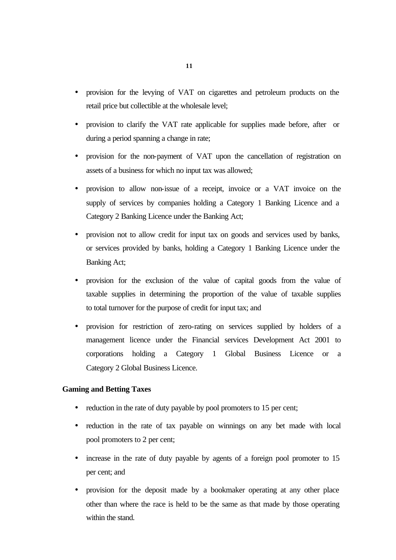- provision for the levying of VAT on cigarettes and petroleum products on the retail price but collectible at the wholesale level;
- provision to clarify the VAT rate applicable for supplies made before, after or during a period spanning a change in rate;
- provision for the non-payment of VAT upon the cancellation of registration on assets of a business for which no input tax was allowed;
- provision to allow non-issue of a receipt, invoice or a VAT invoice on the supply of services by companies holding a Category 1 Banking Licence and a Category 2 Banking Licence under the Banking Act;
- provision not to allow credit for input tax on goods and services used by banks, or services provided by banks, holding a Category 1 Banking Licence under the Banking Act;
- provision for the exclusion of the value of capital goods from the value of taxable supplies in determining the proportion of the value of taxable supplies to total turnover for the purpose of credit for input tax; and
- provision for restriction of zero-rating on services supplied by holders of a management licence under the Financial services Development Act 2001 to corporations holding a Category 1 Global Business Licence or a Category 2 Global Business Licence.

#### **Gaming and Betting Taxes**

- reduction in the rate of duty payable by pool promoters to 15 per cent;
- reduction in the rate of tax payable on winnings on any bet made with local pool promoters to 2 per cent;
- increase in the rate of duty payable by agents of a foreign pool promoter to 15 per cent; and
- provision for the deposit made by a bookmaker operating at any other place other than where the race is held to be the same as that made by those operating within the stand.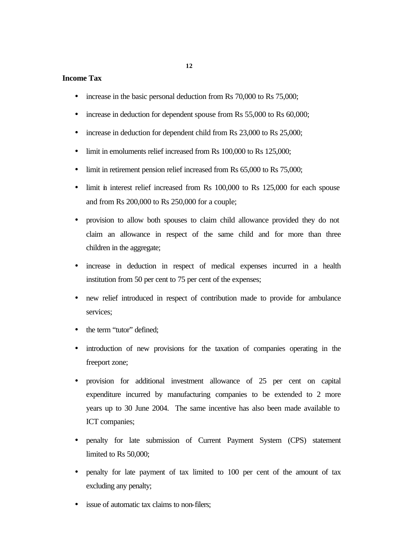#### **Income Tax**

- increase in the basic personal deduction from Rs 70,000 to Rs 75,000;
- increase in deduction for dependent spouse from Rs 55,000 to Rs 60,000;
- increase in deduction for dependent child from Rs 23,000 to Rs 25,000;
- limit in emoluments relief increased from Rs 100,000 to Rs 125,000;
- limit in retirement pension relief increased from Rs 65,000 to Rs 75,000;
- limit in interest relief increased from Rs 100,000 to Rs 125,000 for each spouse and from Rs 200,000 to Rs 250,000 for a couple;
- provision to allow both spouses to claim child allowance provided they do not claim an allowance in respect of the same child and for more than three children in the aggregate;
- increase in deduction in respect of medical expenses incurred in a health institution from 50 per cent to 75 per cent of the expenses;
- new relief introduced in respect of contribution made to provide for ambulance services;
- the term "tutor" defined;
- introduction of new provisions for the taxation of companies operating in the freeport zone;
- provision for additional investment allowance of 25 per cent on capital expenditure incurred by manufacturing companies to be extended to 2 more years up to 30 June 2004. The same incentive has also been made available to ICT companies;
- penalty for late submission of Current Payment System (CPS) statement limited to Rs 50,000;
- penalty for late payment of tax limited to 100 per cent of the amount of tax excluding any penalty;
- issue of automatic tax claims to non-filers;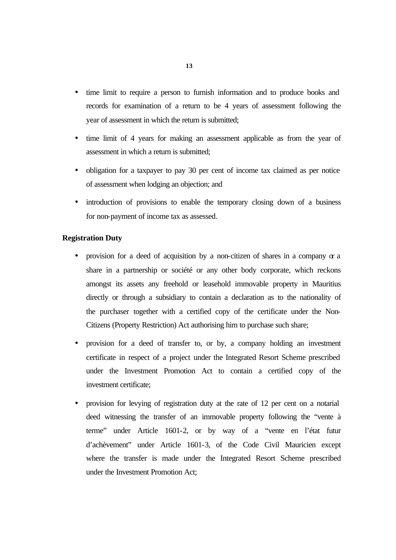- time limit to require a person to furnish information and to produce books and records for examination of a return to be 4 years of assessment following the year of assessment in which the return is submitted;
- time limit of 4 years for making an assessment applicable as from the year of assessment in which a return is submitted;
- obligation for a taxpayer to pay 30 per cent of income tax claimed as per notice of assessment when lodging an objection; and
- introduction of provisions to enable the temporary closing down of a business for non-payment of income tax as assessed.

#### **Registration Duty**

- provision for a deed of acquisition by a non-citizen of shares in a company  $\alpha$  a share in a partnership or société or any other body corporate, which reckons amongst its assets any freehold or leasehold immovable property in Mauritius directly or through a subsidiary to contain a declaration as to the nationality of the purchaser together with a certified copy of the certificate under the Non-Citizens (Property Restriction) Act authorising him to purchase such share;
- provision for a deed of transfer to, or by, a company holding an investment certificate in respect of a project under the Integrated Resort Scheme prescribed under the Investment Promotion Act to contain a certified copy of the investment certificate;
- provision for levying of registration duty at the rate of 12 per cent on a notarial deed witnessing the transfer of an immovable property following the "vente à terme" under Article 1601-2, or by way of a "vente en l'état futur d'achèvement" under Article 1601-3, of the Code Civil Mauricien except where the transfer is made under the Integrated Resort Scheme prescribed under the Investment Promotion Act;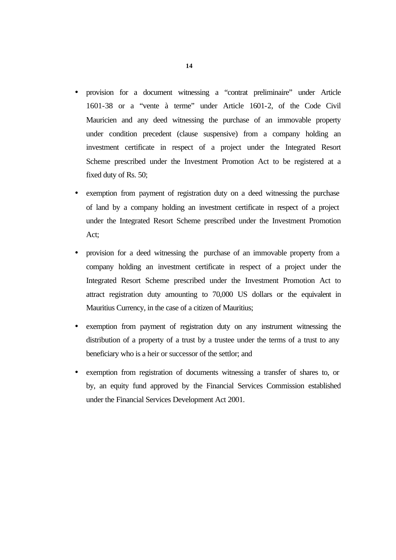- provision for a document witnessing a "contrat preliminaire" under Article 1601-38 or a "vente à terme" under Article 1601-2, of the Code Civil Mauricien and any deed witnessing the purchase of an immovable property under condition precedent (clause suspensive) from a company holding an investment certificate in respect of a project under the Integrated Resort Scheme prescribed under the Investment Promotion Act to be registered at a fixed duty of Rs. 50;
- exemption from payment of registration duty on a deed witnessing the purchase of land by a company holding an investment certificate in respect of a project under the Integrated Resort Scheme prescribed under the Investment Promotion Act;
- provision for a deed witnessing the purchase of an immovable property from a company holding an investment certificate in respect of a project under the Integrated Resort Scheme prescribed under the Investment Promotion Act to attract registration duty amounting to 70,000 US dollars or the equivalent in Mauritius Currency, in the case of a citizen of Mauritius;
- exemption from payment of registration duty on any instrument witnessing the distribution of a property of a trust by a trustee under the terms of a trust to any beneficiary who is a heir or successor of the settlor; and
- exemption from registration of documents witnessing a transfer of shares to, or by, an equity fund approved by the Financial Services Commission established under the Financial Services Development Act 2001.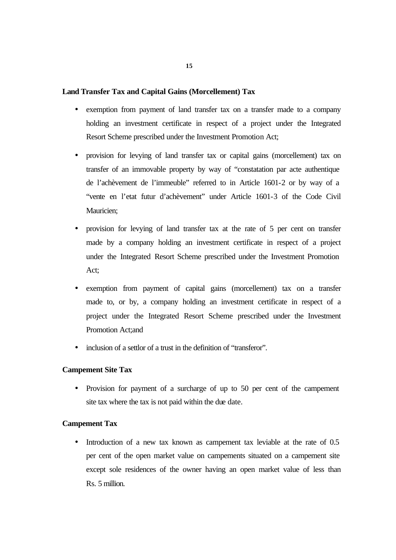#### **Land Transfer Tax and Capital Gains (Morcellement) Tax**

- exemption from payment of land transfer tax on a transfer made to a company holding an investment certificate in respect of a project under the Integrated Resort Scheme prescribed under the Investment Promotion Act;
- provision for levying of land transfer tax or capital gains (morcellement) tax on transfer of an immovable property by way of "constatation par acte authentique de l'achèvement de l'immeuble" referred to in Article 1601-2 or by way of a "vente en l'etat futur d'achèvement" under Article 1601-3 of the Code Civil Mauricien;
- provision for levying of land transfer tax at the rate of 5 per cent on transfer made by a company holding an investment certificate in respect of a project under the Integrated Resort Scheme prescribed under the Investment Promotion Act;
- exemption from payment of capital gains (morcellement) tax on a transfer made to, or by, a company holding an investment certificate in respect of a project under the Integrated Resort Scheme prescribed under the Investment Promotion Act;and
- inclusion of a settlor of a trust in the definition of "transferor".

#### **Campement Site Tax**

• Provision for payment of a surcharge of up to 50 per cent of the campement site tax where the tax is not paid within the due date.

#### **Campement Tax**

• Introduction of a new tax known as campement tax leviable at the rate of 0.5 per cent of the open market value on campements situated on a campement site except sole residences of the owner having an open market value of less than Rs. 5 million.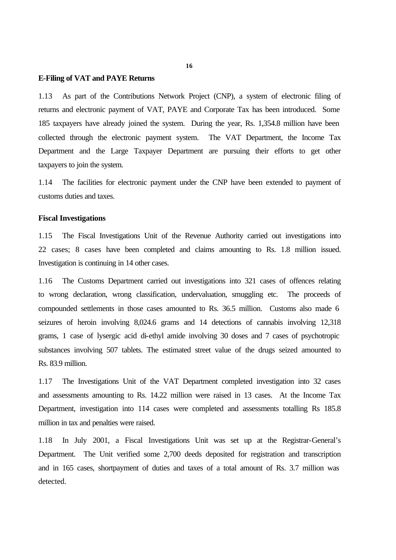#### **E-Filing of VAT and PAYE Returns**

1.13 As part of the Contributions Network Project (CNP), a system of electronic filing of returns and electronic payment of VAT, PAYE and Corporate Tax has been introduced. Some 185 taxpayers have already joined the system. During the year, Rs. 1,354.8 million have been collected through the electronic payment system. The VAT Department, the Income Tax Department and the Large Taxpayer Department are pursuing their efforts to get other taxpayers to join the system.

1.14 The facilities for electronic payment under the CNP have been extended to payment of customs duties and taxes.

#### **Fiscal Investigations**

1.15 The Fiscal Investigations Unit of the Revenue Authority carried out investigations into 22 cases; 8 cases have been completed and claims amounting to Rs. 1.8 million issued. Investigation is continuing in 14 other cases.

1.16 The Customs Department carried out investigations into 321 cases of offences relating to wrong declaration, wrong classification, undervaluation, smuggling etc. The proceeds of compounded settlements in those cases amounted to Rs. 36.5 million. Customs also made 6 seizures of heroin involving 8,024.6 grams and 14 detections of cannabis involving 12,318 grams, 1 case of lysergic acid di-ethyl amide involving 30 doses and 7 cases of psychotropic substances involving 507 tablets. The estimated street value of the drugs seized amounted to Rs. 83.9 million.

1.17 The Investigations Unit of the VAT Department completed investigation into 32 cases and assessments amounting to Rs. 14.22 million were raised in 13 cases. At the Income Tax Department, investigation into 114 cases were completed and assessments totalling Rs 185.8 million in tax and penalties were raised.

1.18 In July 2001, a Fiscal Investigations Unit was set up at the Registrar-General's Department. The Unit verified some 2,700 deeds deposited for registration and transcription and in 165 cases, shortpayment of duties and taxes of a total amount of Rs. 3.7 million was detected.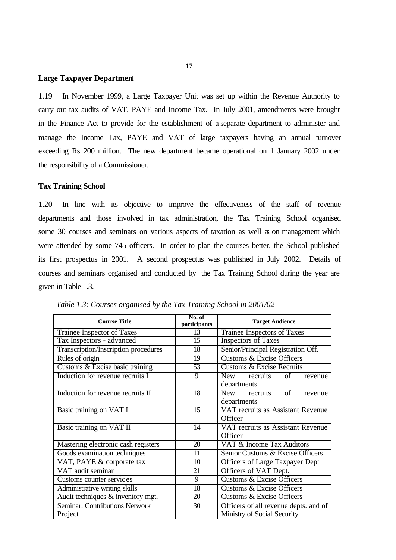#### **Large Taxpayer Departmen**t

1.19 In November 1999, a Large Taxpayer Unit was set up within the Revenue Authority to carry out tax audits of VAT, PAYE and Income Tax. In July 2001, amendments were brought in the Finance Act to provide for the establishment of a separate department to administer and manage the Income Tax, PAYE and VAT of large taxpayers having an annual turnover exceeding Rs 200 million. The new department became operational on 1 January 2002 under the responsibility of a Commissioner.

#### **Tax Training School**

1.20 In line with its objective to improve the effectiveness of the staff of revenue departments and those involved in tax administration, the Tax Training School organised some 30 courses and seminars on various aspects of taxation as well as on management which were attended by some 745 officers. In order to plan the courses better, the School published its first prospectus in 2001. A second prospectus was published in July 2002. Details of courses and seminars organised and conducted by the Tax Training School during the year are given in Table 1.3.

| <b>Course Title</b>                                      | No. of<br>participants | <b>Target Audience</b>                 |
|----------------------------------------------------------|------------------------|----------------------------------------|
| Trainee Inspector of Taxes                               | 13                     | Trainee Inspectors of Taxes            |
| Tax Inspectors - advanced                                | 15                     | <b>Inspectors of Taxes</b>             |
| Transcription/Inscription procedures                     | 18                     | Senior/Principal Registration Off.     |
| Rules of origin                                          | 19                     | <b>Customs &amp; Excise Officers</b>   |
| Customs & Excise basic training                          | 53                     | <b>Customs &amp; Excise Recruits</b>   |
| Induction for revenue recruits I                         | 9                      | of<br>New recruits<br>revenue          |
|                                                          |                        | departments                            |
| Induction for revenue recruits II                        | 18                     | of<br>New recruits<br>revenue          |
|                                                          |                        | departments                            |
| Basic training on VAT I                                  | 15                     | VAT recruits as Assistant Revenue      |
|                                                          |                        | Officer                                |
| Basic training on VAT II                                 | 14                     | VAT recruits as Assistant Revenue      |
|                                                          |                        | Officer                                |
| Mastering electronic cash registers                      | 20                     | VAT & Income Tax Auditors              |
| Goods examination techniques                             | 11                     | Senior Customs & Excise Officers       |
| VAT, PAYE & corporate tax                                | 10                     | <b>Officers of Large Taxpayer Dept</b> |
| VAT audit seminar                                        | 21                     | Officers of VAT Dept.                  |
| Customs counter services                                 | 9                      | <b>Customs &amp; Excise Officers</b>   |
| Administrative writing skills                            | 18                     | Customs & Excise Officers              |
| Audit techniques $\overline{\mathcal{X}}$ inventory mgt. | 20                     | Customs & Excise Officers              |
| <b>Seminar: Contributions Network</b>                    | 30                     | Officers of all revenue depts. and of  |
| Project                                                  |                        | Ministry of Social Security            |

*Table 1.3: Courses organised by the Tax Training School in 2001/02*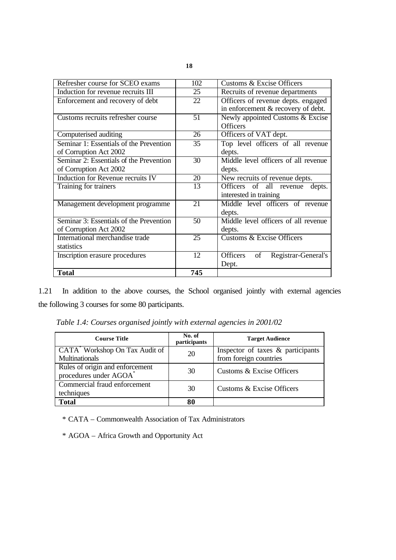| Refresher course for SCEO exams         | 102             | <b>Customs &amp; Excise Officers</b>         |
|-----------------------------------------|-----------------|----------------------------------------------|
| Induction for revenue recruits III      | $\overline{25}$ | Recruits of revenue departments              |
| Enforcement and recovery of debt        | 22              | Officers of revenue depts. engaged           |
|                                         |                 | in enforcement & recovery of debt.           |
| Customs recruits refresher course       | $\overline{51}$ | Newly appointed Customs & Excise             |
|                                         |                 | <b>Officers</b>                              |
| Computerised auditing                   | $\overline{26}$ | Officers of VAT dept.                        |
| Seminar 1: Essentials of the Prevention | 35              | Top level officers of all revenue            |
| of Corruption Act 2002                  |                 | depts.                                       |
| Seminar 2: Essentials of the Prevention | 30              | Middle level officers of all revenue         |
| of Corruption Act 2002                  |                 | depts.                                       |
| Induction for Revenue recruits IV       | 20              | New recruits of revenue depts.               |
| Training for trainers                   | 13              | Officers of all revenue depts.               |
|                                         |                 | interested in training                       |
| Management development programme        | 21              | Middle level officers of revenue             |
|                                         |                 | depts.                                       |
| Seminar 3: Essentials of the Prevention | 50              | Middle level officers of all revenue         |
| of Corruption Act 2002                  |                 | depts.                                       |
| International merchandise trade         | 25              | Customs & Excise Officers                    |
| statistics                              |                 |                                              |
| Inscription erasure procedures          | 12              | <b>Officers</b><br>Registrar-General's<br>of |
|                                         |                 | Dept.                                        |
| <b>Total</b>                            | 745             |                                              |

1.21 In addition to the above courses, the School organised jointly with external agencies the following 3 courses for some 80 participants.

*Table 1.4: Courses organised jointly with external agencies in 2001/02*

| <b>Course Title</b>                                          | No. of<br>participants | <b>Target Audience</b>                                      |
|--------------------------------------------------------------|------------------------|-------------------------------------------------------------|
| CATA <sup>*</sup> Workshop On Tax Audit of<br>Multinationals | 20                     | Inspector of taxes & participants<br>from foreign countries |
| Rules of origin and enforcement<br>procedures under AGOA*    | 30                     | Customs & Excise Officers                                   |
| Commercial fraud enforcement<br>techniques                   | 30                     | Customs & Excise Officers                                   |
| <b>Total</b>                                                 | 80                     |                                                             |

\* CATA – Commonwealth Association of Tax Administrators

\* AGOA – Africa Growth and Opportunity Act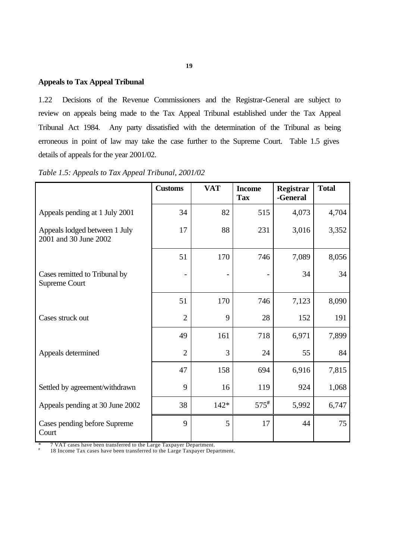#### **Appeals to Tax Appeal Tribunal**

1.22 Decisions of the Revenue Commissioners and the Registrar-General are subject to review on appeals being made to the Tax Appeal Tribunal established under the Tax Appeal Tribunal Act 1984. Any party dissatisfied with the determination of the Tribunal as being erroneous in point of law may take the case further to the Supreme Court. Table 1.5 gives details of appeals for the year 2001/02.

*Table 1.5: Appeals to Tax Appeal Tribunal, 2001/02*

|                                                        | <b>Customs</b> | <b>VAT</b> | <b>Income</b><br><b>Tax</b> | Registrar<br>-General | <b>Total</b> |
|--------------------------------------------------------|----------------|------------|-----------------------------|-----------------------|--------------|
| Appeals pending at 1 July 2001                         | 34             | 82         | 515                         | 4,073                 | 4,704        |
| Appeals lodged between 1 July<br>2001 and 30 June 2002 | 17             | 88         | 231                         | 3,016                 | 3,352        |
|                                                        | 51             | 170        | 746                         | 7,089                 | 8,056        |
| Cases remitted to Tribunal by<br>Supreme Court         |                |            |                             | 34                    | 34           |
|                                                        | 51             | 170        | 746                         | 7,123                 | 8,090        |
| Cases struck out                                       | $\overline{2}$ | 9          | 28                          | 152                   | 191          |
|                                                        | 49             | 161        | 718                         | 6,971                 | 7,899        |
| Appeals determined                                     | $\overline{2}$ | 3          | 24                          | 55                    | 84           |
|                                                        | 47             | 158        | 694                         | 6,916                 | 7,815        |
| Settled by agreement/withdrawn                         | 9              | 16         | 119                         | 924                   | 1,068        |
| Appeals pending at 30 June 2002                        | 38             | 142*       | $575^{\#}$                  | 5,992                 | 6,747        |
| Cases pending before Supreme<br>Court                  | 9              | 5          | 17                          | 44                    | 75           |

\* 7 VAT cases have been transferred to the Large Taxpayer Department.

# 18 Income Tax cases have been transferred to the Large Taxpayer Department.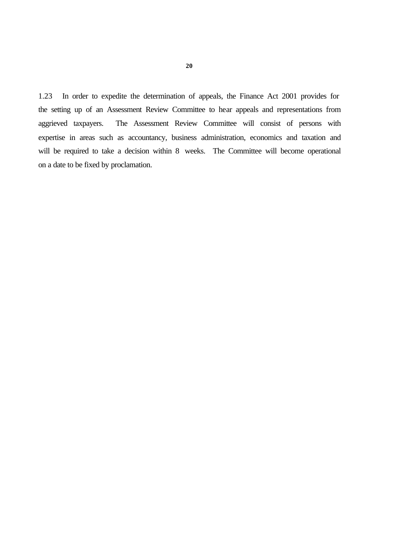1.23 In order to expedite the determination of appeals, the Finance Act 2001 provides for the setting up of an Assessment Review Committee to hear appeals and representations from aggrieved taxpayers. The Assessment Review Committee will consist of persons with expertise in areas such as accountancy, business administration, economics and taxation and will be required to take a decision within 8 weeks. The Committee will become operational on a date to be fixed by proclamation.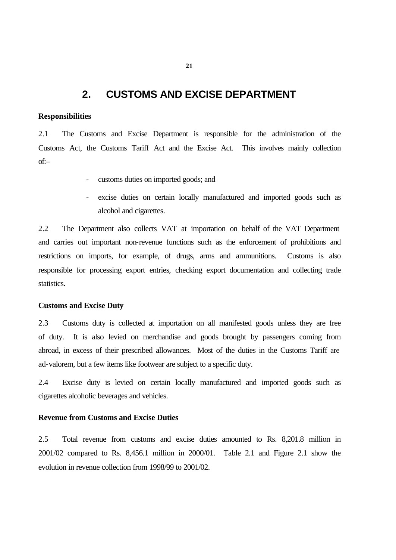### **2. CUSTOMS AND EXCISE DEPARTMENT**

#### **Responsibilities**

2.1 The Customs and Excise Department is responsible for the administration of the Customs Act, the Customs Tariff Act and the Excise Act. This involves mainly collection of:–

- customs duties on imported goods; and
- excise duties on certain locally manufactured and imported goods such as alcohol and cigarettes.

2.2 The Department also collects VAT at importation on behalf of the VAT Department and carries out important non-revenue functions such as the enforcement of prohibitions and restrictions on imports, for example, of drugs, arms and ammunitions. Customs is also responsible for processing export entries, checking export documentation and collecting trade statistics.

#### **Customs and Excise Duty**

2.3 Customs duty is collected at importation on all manifested goods unless they are free of duty. It is also levied on merchandise and goods brought by passengers coming from abroad, in excess of their prescribed allowances. Most of the duties in the Customs Tariff are ad-valorem, but a few items like footwear are subject to a specific duty.

2.4 Excise duty is levied on certain locally manufactured and imported goods such as cigarettes alcoholic beverages and vehicles.

#### **Revenue from Customs and Excise Duties**

2.5 Total revenue from customs and excise duties amounted to Rs. 8,201.8 million in 2001/02 compared to Rs. 8,456.1 million in 2000/01. Table 2.1 and Figure 2.1 show the evolution in revenue collection from 1998/99 to 2001/02.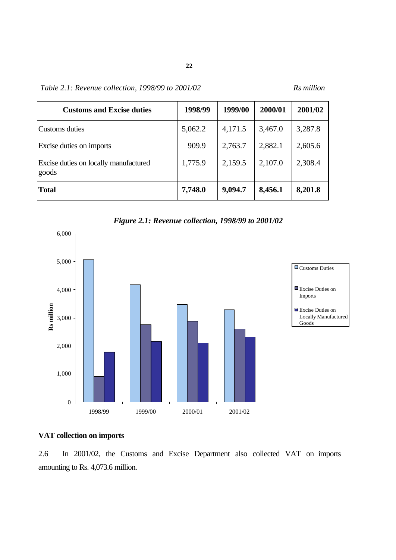*Table 2.1: Revenue collection, 1998/99 to 2001/02* 

|  | Rs million |
|--|------------|
|  |            |
|  |            |
|  |            |

| <b>Customs and Excise duties</b>               | 1998/99 | 1999/00 | 2000/01 | 2001/02 |
|------------------------------------------------|---------|---------|---------|---------|
| <b>Customs duties</b>                          | 5,062.2 | 4,171.5 | 3,467.0 | 3,287.8 |
| Excise duties on imports                       | 909.9   | 2,763.7 | 2,882.1 | 2,605.6 |
| Excise duties on locally manufactured<br>goods | 1,775.9 | 2,159.5 | 2,107.0 | 2,308.4 |
| <b>Total</b>                                   | 7,748.0 | 9,094.7 | 8,456.1 | 8,201.8 |





### **VAT collection on imports**

2.6 In 2001/02, the Customs and Excise Department also collected VAT on imports amounting to Rs. 4,073.6 million.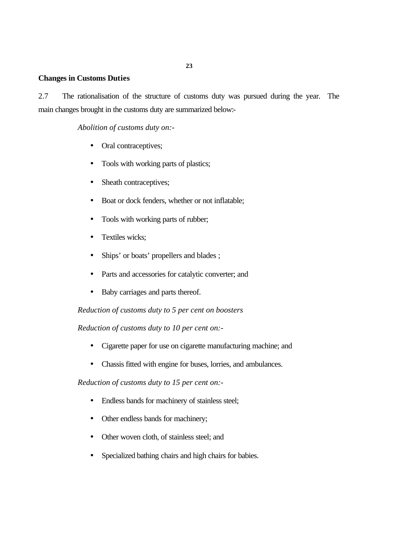#### **Changes in Customs Duties**

2.7 The rationalisation of the structure of customs duty was pursued during the year. The main changes brought in the customs duty are summarized below:-

*Abolition of customs duty on:-*

- Oral contraceptives;
- Tools with working parts of plastics;
- Sheath contraceptives;
- Boat or dock fenders, whether or not inflatable;
- Tools with working parts of rubber;
- Textiles wicks:
- Ships' or boats' propellers and blades;
- Parts and accessories for catalytic converter; and
- Baby carriages and parts thereof.

*Reduction of customs duty to 5 per cent on boosters*

*Reduction of customs duty to 10 per cent on:-*

- Cigarette paper for use on cigarette manufacturing machine; and
- Chassis fitted with engine for buses, lorries, and ambulances.

*Reduction of customs duty to 15 per cent on:-*

- Endless bands for machinery of stainless steel;
- Other endless bands for machinery;
- Other woven cloth, of stainless steel; and
- Specialized bathing chairs and high chairs for babies.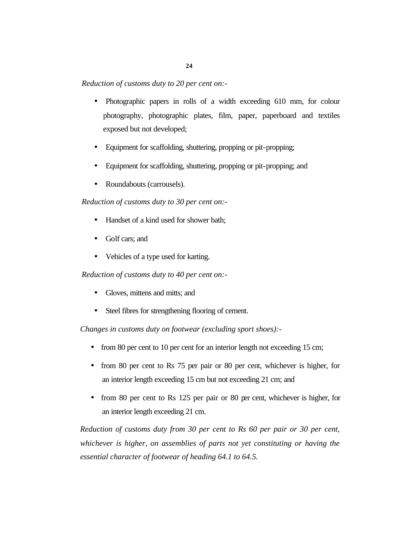*Reduction of customs duty to 20 per cent on:-*

- Photographic papers in rolls of a width exceeding 610 mm, for colour photography, photographic plates, film, paper, paperboard and textiles exposed but not developed;
- Equipment for scaffolding, shuttering, propping or pit-propping;
- Equipment for scaffolding, shuttering, propping or pit-propping; and
- Roundabouts (carrousels).

*Reduction of customs duty to 30 per cent on:-*

- Handset of a kind used for shower bath;
- Golf cars; and
- Vehicles of a type used for karting.

*Reduction of customs duty to 40 per cent on:-*

- Gloves, mittens and mitts; and
- Steel fibres for strengthening flooring of cement.

*Changes in customs duty on footwear (excluding sport shoes):-*

- from 80 per cent to 10 per cent for an interior length not exceeding 15 cm;
- from 80 per cent to Rs 75 per pair or 80 per cent, whichever is higher, for an interior length exceeding 15 cm but not exceeding 21 cm; and
- from 80 per cent to Rs 125 per pair or 80 per cent, whichever is higher, for an interior length exceeding 21 cm.

*Reduction of customs duty from 30 per cent to Rs 60 per pair or 30 per cent, whichever is higher, on assemblies of parts not yet constituting or having the essential character of footwear of heading 64.1 to 64.5.*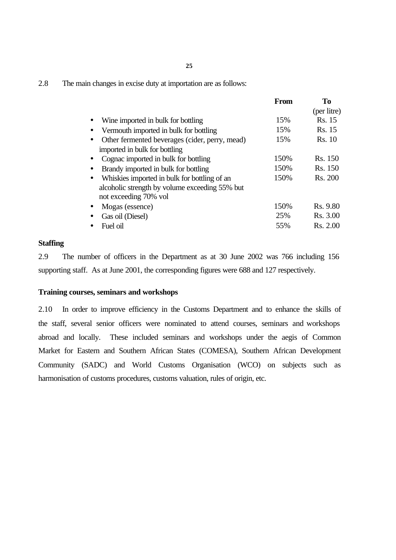2.8 The main changes in excise duty at importation are as follows:

|                                                             | From | To          |
|-------------------------------------------------------------|------|-------------|
|                                                             |      | (per litre) |
| Wine imported in bulk for bottling<br>$\bullet$             | 15%  | Rs. 15      |
| Vermouth imported in bulk for bottling                      | 15%  | Rs. 15      |
| Other fermented beverages (cider, perry, mead)<br>$\bullet$ | 15%  | Rs. 10      |
| imported in bulk for bottling                               |      |             |
| Cognac imported in bulk for bottling                        | 150% | Rs. 150     |
| Brandy imported in bulk for bottling                        | 150% | Rs. 150     |
| Whiskies imported in bulk for bottling of an                | 150% | Rs. 200     |
| alcoholic strength by volume exceeding 55% but              |      |             |
| not exceeding 70% vol                                       |      |             |
| Mogas (essence)<br>$\bullet$                                | 150% | Rs. 9.80    |
| Gas oil (Diesel)                                            | 25%  | Rs. 3.00    |
| Fuel oil                                                    | 55%  | Rs. 2.00    |
|                                                             |      |             |

#### **Staffing**

2.9 The number of officers in the Department as at 30 June 2002 was 766 including 156 supporting staff. As at June 2001, the corresponding figures were 688 and 127 respectively.

#### **Training courses, seminars and workshops**

2.10 In order to improve efficiency in the Customs Department and to enhance the skills of the staff, several senior officers were nominated to attend courses, seminars and workshops abroad and locally. These included seminars and workshops under the aegis of Common Market for Eastern and Southern African States (COMESA), Southern African Development Community (SADC) and World Customs Organisation (WCO) on subjects such as harmonisation of customs procedures, customs valuation, rules of origin, etc.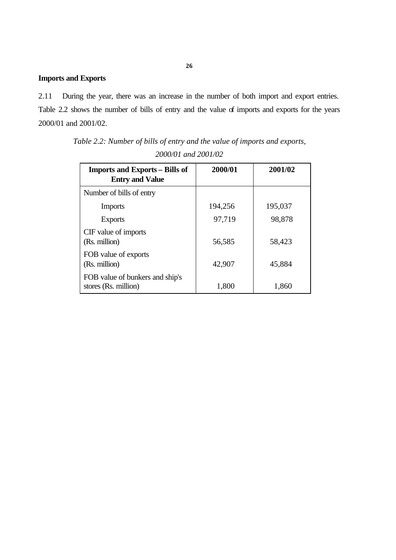### **Imports and Exports**

2.11 During the year, there was an increase in the number of both import and export entries. Table 2.2 shows the number of bills of entry and the value of imports and exports for the years 2000/01 and 2001/02.

| <b>Imports and Exports – Bills of</b><br><b>Entry and Value</b> | 2000/01 | 2001/02 |
|-----------------------------------------------------------------|---------|---------|
| Number of bills of entry                                        |         |         |
| <b>Imports</b>                                                  | 194,256 | 195,037 |
| <b>Exports</b>                                                  | 97,719  | 98,878  |
| CIF value of imports<br>(Rs. million)                           | 56,585  | 58,423  |
| FOB value of exports<br>(Rs. million)                           | 42,907  | 45,884  |
| FOB value of bunkers and ship's<br>stores (Rs. million)         | 1,800   | 1,860   |

*Table 2.2: Number of bills of entry and the value of imports and exports, 2000/01 and 2001/02*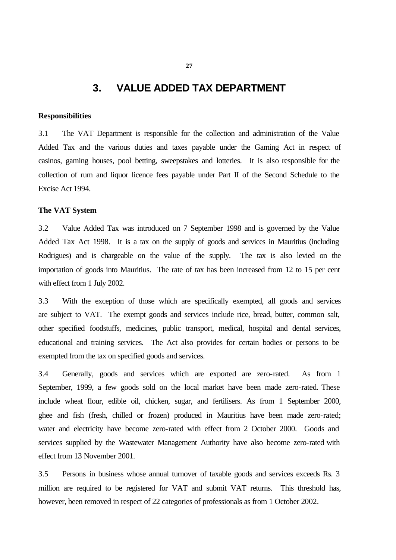### **3. VALUE ADDED TAX DEPARTMENT**

#### **Responsibilities**

3.1 The VAT Department is responsible for the collection and administration of the Value Added Tax and the various duties and taxes payable under the Gaming Act in respect of casinos, gaming houses, pool betting, sweepstakes and lotteries. It is also responsible for the collection of rum and liquor licence fees payable under Part II of the Second Schedule to the Excise Act 1994.

#### **The VAT System**

3.2 Value Added Tax was introduced on 7 September 1998 and is governed by the Value Added Tax Act 1998. It is a tax on the supply of goods and services in Mauritius (including Rodrigues) and is chargeable on the value of the supply. The tax is also levied on the importation of goods into Mauritius. The rate of tax has been increased from 12 to 15 per cent with effect from 1 July 2002.

3.3 With the exception of those which are specifically exempted, all goods and services are subject to VAT. The exempt goods and services include rice, bread, butter, common salt, other specified foodstuffs, medicines, public transport, medical, hospital and dental services, educational and training services. The Act also provides for certain bodies or persons to be exempted from the tax on specified goods and services.

3.4 Generally, goods and services which are exported are zero-rated. As from 1 September, 1999, a few goods sold on the local market have been made zero-rated. These include wheat flour, edible oil, chicken, sugar, and fertilisers. As from 1 September 2000, ghee and fish (fresh, chilled or frozen) produced in Mauritius have been made zero-rated; water and electricity have become zero-rated with effect from 2 October 2000. Goods and services supplied by the Wastewater Management Authority have also become zero-rated with effect from 13 November 2001.

3.5 Persons in business whose annual turnover of taxable goods and services exceeds Rs. 3 million are required to be registered for VAT and submit VAT returns. This threshold has, however, been removed in respect of 22 categories of professionals as from 1 October 2002.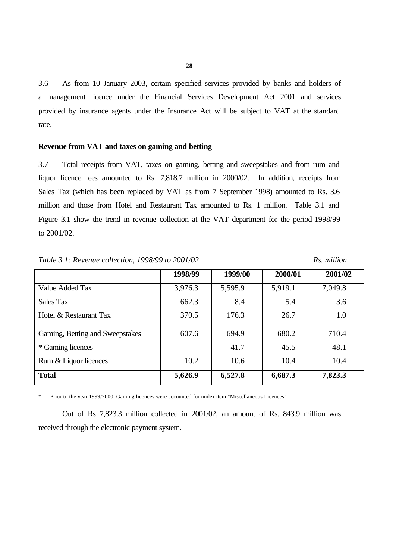3.6 As from 10 January 2003, certain specified services provided by banks and holders of a management licence under the Financial Services Development Act 2001 and services provided by insurance agents under the Insurance Act will be subject to VAT at the standard rate.

#### **Revenue from VAT and taxes on gaming and betting**

3.7 Total receipts from VAT, taxes on gaming, betting and sweepstakes and from rum and liquor licence fees amounted to Rs. 7,818.7 million in 2000/02. In addition, receipts from Sales Tax (which has been replaced by VAT as from 7 September 1998) amounted to Rs. 3.6 million and those from Hotel and Restaurant Tax amounted to Rs. 1 million. Table 3.1 and Figure 3.1 show the trend in revenue collection at the VAT department for the period 1998/99 to 2001/02.

|                                 | 1998/99 | 1999/00 | 2000/01 | 2001/02 |
|---------------------------------|---------|---------|---------|---------|
| Value Added Tax                 | 3,976.3 | 5,595.9 | 5,919.1 | 7,049.8 |
| Sales Tax                       | 662.3   | 8.4     | 5.4     | 3.6     |
| Hotel & Restaurant Tax          | 370.5   | 176.3   | 26.7    | 1.0     |
| Gaming, Betting and Sweepstakes | 607.6   | 694.9   | 680.2   | 710.4   |
| * Gaming licences               |         | 41.7    | 45.5    | 48.1    |
| Rum & Liquor licences           | 10.2    | 10.6    | 10.4    | 10.4    |
| <b>Total</b>                    | 5,626.9 | 6,527.8 | 6,687.3 | 7,823.3 |

*Table 3.1: Revenue collection, 1998/99 to 2001/02* Rs. million

\* Prior to the year 1999/2000, Gaming licences were accounted for under item "Miscellaneous Licences".

Out of Rs 7,823.3 million collected in 2001/02, an amount of Rs. 843.9 million was received through the electronic payment system.

**28**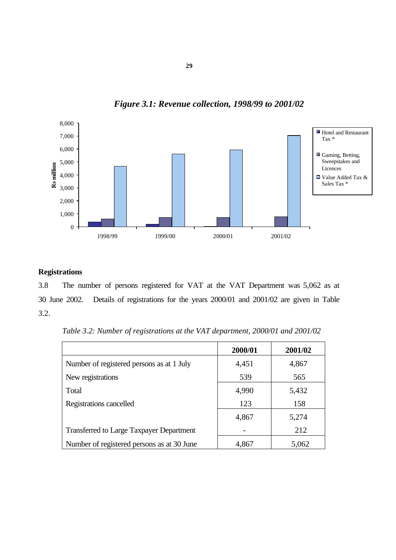

*Figure 3.1: Revenue collection, 1998/99 to 2001/02* 

#### **Registrations**

3.8 The number of persons registered for VAT at the VAT Department was 5,062 as at 30 June 2002. Details of registrations for the years 2000/01 and 2001/02 are given in Table 3.2.

|                                                 | 2000/01 | 2001/02 |
|-------------------------------------------------|---------|---------|
| Number of registered persons as at 1 July       | 4,451   | 4,867   |
| New registrations                               | 539     | 565     |
| Total                                           | 4,990   | 5,432   |
| Registrations cancelled                         | 123     | 158     |
|                                                 | 4,867   | 5,274   |
| <b>Transferred to Large Taxpayer Department</b> |         | 212     |
| Number of registered persons as at 30 June      | 4,867   | 5,062   |

*Table 3.2: Number of registrations at the VAT department, 2000/01 and 2001/02*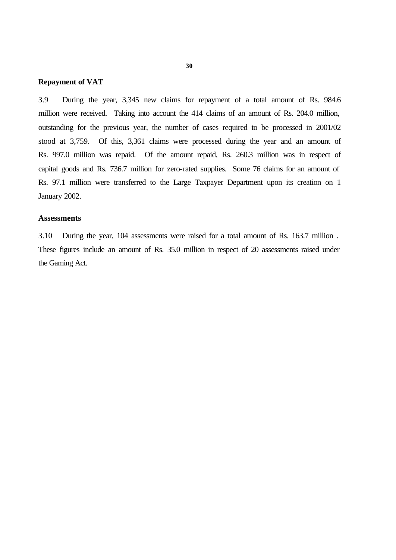#### **Repayment of VAT**

3.9 During the year, 3,345 new claims for repayment of a total amount of Rs. 984.6 million were received. Taking into account the 414 claims of an amount of Rs. 204.0 million, outstanding for the previous year, the number of cases required to be processed in 2001/02 stood at 3,759. Of this, 3,361 claims were processed during the year and an amount of Rs. 997.0 million was repaid. Of the amount repaid, Rs. 260.3 million was in respect of capital goods and Rs. 736.7 million for zero-rated supplies. Some 76 claims for an amount of Rs. 97.1 million were transferred to the Large Taxpayer Department upon its creation on 1 January 2002.

#### **Assessments**

3.10 During the year, 104 assessments were raised for a total amount of Rs. 163.7 million . These figures include an amount of Rs. 35.0 million in respect of 20 assessments raised under the Gaming Act.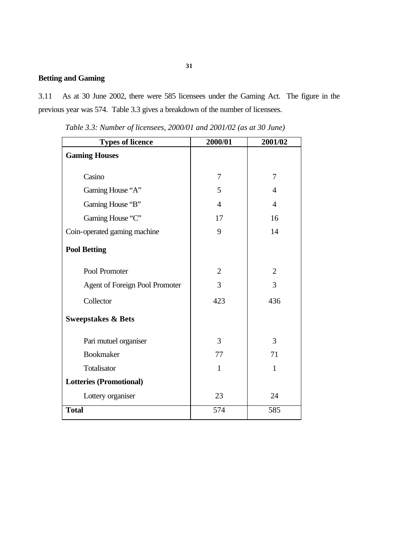### **Betting and Gaming**

3.11 As at 30 June 2002, there were 585 licensees under the Gaming Act. The figure in the previous year was 574. Table 3.3 gives a breakdown of the number of licensees.

| <b>Types of licence</b>        | 2000/01        | 2001/02        |
|--------------------------------|----------------|----------------|
| <b>Gaming Houses</b>           |                |                |
|                                |                |                |
| Casino                         | 7              | 7              |
| Gaming House "A"               | 5              | $\overline{4}$ |
| Gaming House "B"               | $\overline{4}$ | $\overline{4}$ |
| Gaming House "C"               | 17             | 16             |
| Coin-operated gaming machine   | 9              | 14             |
| <b>Pool Betting</b>            |                |                |
| Pool Promoter                  | $\overline{2}$ | $\overline{2}$ |
| Agent of Foreign Pool Promoter | 3              | 3              |
| Collector                      | 423            | 436            |
| <b>Sweepstakes &amp; Bets</b>  |                |                |
| Pari mutuel organiser          | 3              | 3              |
| <b>Bookmaker</b>               | 77             | 71             |
| Totalisator                    | $\mathbf{1}$   | $\mathbf{1}$   |
| <b>Lotteries (Promotional)</b> |                |                |
| Lottery organiser              | 23             | 24             |
| <b>Total</b>                   | 574            | 585            |

*Table 3.3: Number of licensees, 2000/01 and 2001/02 (as at 30 June)*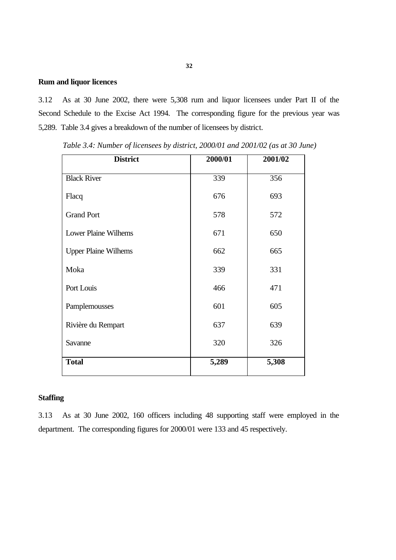#### **Rum and liquor licences**

3.12 As at 30 June 2002, there were 5,308 rum and liquor licensees under Part II of the Second Schedule to the Excise Act 1994. The corresponding figure for the previous year was 5,289. Table 3.4 gives a breakdown of the number of licensees by district.

| <b>District</b>             | 2000/01 | 2001/02 |
|-----------------------------|---------|---------|
| <b>Black River</b>          | 339     | 356     |
| Flacq                       | 676     | 693     |
| <b>Grand Port</b>           | 578     | 572     |
| <b>Lower Plaine Wilhems</b> | 671     | 650     |
| <b>Upper Plaine Wilhems</b> | 662     | 665     |
| Moka                        | 339     | 331     |
| Port Louis                  | 466     | 471     |
| Pamplemousses               | 601     | 605     |
| Rivière du Rempart          | 637     | 639     |
| Savanne                     | 320     | 326     |
| <b>Total</b>                | 5,289   | 5,308   |

*Table 3.4: Number of licensees by district, 2000/01 and 2001/02 (as at 30 June)*

#### **Staffing**

3.13 As at 30 June 2002, 160 officers including 48 supporting staff were employed in the department. The corresponding figures for 2000/01 were 133 and 45 respectively.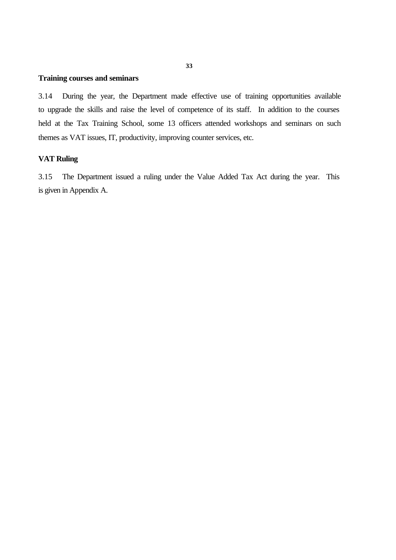#### **Training courses and seminars**

3.14 During the year, the Department made effective use of training opportunities available to upgrade the skills and raise the level of competence of its staff. In addition to the courses held at the Tax Training School, some 13 officers attended workshops and seminars on such themes as VAT issues, IT, productivity, improving counter services, etc.

#### **VAT Ruling**

3.15 The Department issued a ruling under the Value Added Tax Act during the year. This is given in Appendix A.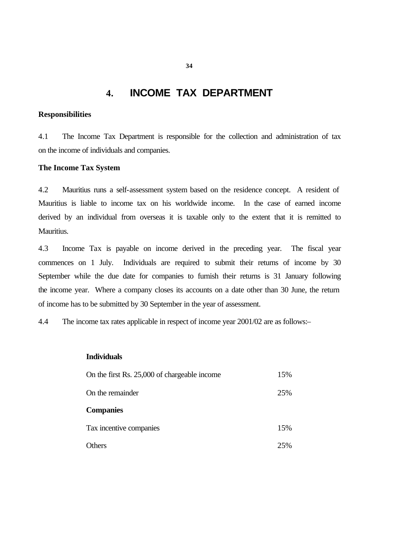### **4. INCOME TAX DEPARTMENT**

#### **Responsibilities**

4.1 The Income Tax Department is responsible for the collection and administration of tax on the income of individuals and companies.

#### **The Income Tax System**

4.2 Mauritius runs a self-assessment system based on the residence concept. A resident of Mauritius is liable to income tax on his worldwide income. In the case of earned income derived by an individual from overseas it is taxable only to the extent that it is remitted to Mauritius.

4.3 Income Tax is payable on income derived in the preceding year. The fiscal year commences on 1 July. Individuals are required to submit their returns of income by 30 September while the due date for companies to furnish their returns is 31 January following the income year. Where a company closes its accounts on a date other than 30 June, the return of income has to be submitted by 30 September in the year of assessment.

4.4 The income tax rates applicable in respect of income year 2001/02 are as follows:–

#### **Individuals**

| On the first Rs. 25,000 of chargeable income | 15% |
|----------------------------------------------|-----|
| On the remainder                             | 25% |
| <b>Companies</b>                             |     |
| Tax incentive companies                      | 15% |
| Others                                       | 25% |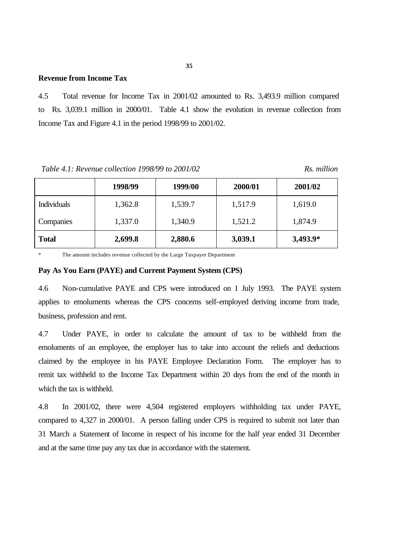#### **Revenue from Income Tax**

4.5 Total revenue for Income Tax in 2001/02 amounted to Rs. 3,493.9 million compared to Rs. 3,039.1 million in 2000/01. Table 4.1 show the evolution in revenue collection from Income Tax and Figure 4.1 in the period 1998/99 to 2001/02.

#### *Table 4.1: Revenue collection 1998/99 to 2001/02 Rs. million*

|                    | 1998/99 | 1999/00 | 2000/01 | 2001/02  |
|--------------------|---------|---------|---------|----------|
| <b>Individuals</b> | 1,362.8 | 1,539.7 | 1,517.9 | 1,619.0  |
| Companies          | 1,337.0 | 1,340.9 | 1,521.2 | 1,874.9  |
| <b>Total</b>       | 2,699.8 | 2,880.6 | 3,039.1 | 3,493.9* |

\* The amount includes revenue collected by the Large Taxpayer Department

#### **Pay As You Earn (PAYE) and Current Payment System (CPS)**

4.6 Non-cumulative PAYE and CPS were introduced on 1 July 1993. The PAYE system applies to emoluments whereas the CPS concerns self-employed deriving income from trade, business, profession and rent.

4.7 Under PAYE, in order to calculate the amount of tax to be withheld from the emoluments of an employee, the employer has to take into account the reliefs and deductions claimed by the employee in his PAYE Employee Declaration Form. The employer has to remit tax withheld to the Income Tax Department within 20 days from the end of the month in which the tax is withheld.

4.8 In 2001/02, there were 4,504 registered employers withholding tax under PAYE, compared to 4,327 in 2000/01. A person falling under CPS is required to submit not later than 31 March a Statement of Income in respect of his income for the half year ended 31 December and at the same time pay any tax due in accordance with the statement.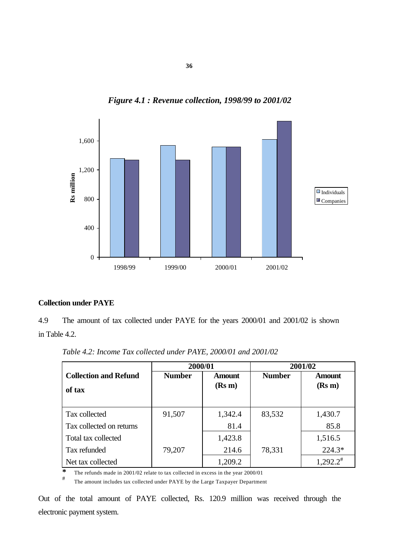

*Figure 4.1 : Revenue collection, 1998/99 to 2001/02* 

#### **Collection under PAYE**

4.9 The amount of tax collected under PAYE for the years 2000/01 and 2001/02 is shown in Table 4.2.

|                                        | 2000/01       |                         |               | 2001/02                 |
|----------------------------------------|---------------|-------------------------|---------------|-------------------------|
| <b>Collection and Refund</b><br>of tax | <b>Number</b> | <b>Amount</b><br>(Rs m) | <b>Number</b> | <b>Amount</b><br>(Rs m) |
| Tax collected                          | 91,507        | 1,342.4                 | 83,532        | 1,430.7                 |
| Tax collected on returns               |               | 81.4                    |               | 85.8                    |
| Total tax collected                    |               | 1,423.8                 |               | 1,516.5                 |
| Tax refunded                           | 79,207        | 214.6                   | 78,331        | $224.3*$                |
| Net tax collected                      |               | 1,209.2                 |               | $1.292.2^{\#}$          |

*Table 4.2: Income Tax collected under PAYE, 2000/01 and 2001/02*

**\*** The refunds made in 2001/02 relate to tax collected in excess in the year 2000/01 #

The amount includes tax collected under PAYE by the Large Taxpayer Department

Out of the total amount of PAYE collected, Rs. 120.9 million was received through the electronic payment system.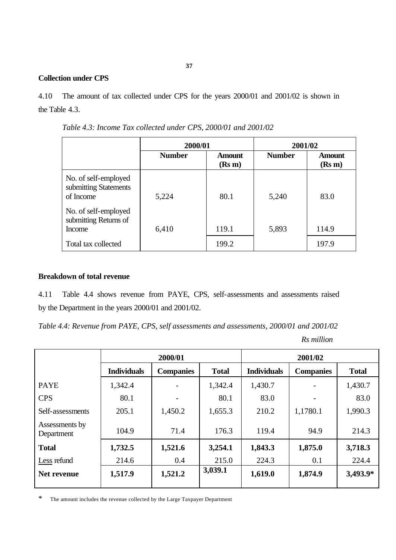### **Collection under CPS**

4.10 The amount of tax collected under CPS for the years 2000/01 and 2001/02 is shown in the Table 4.3.

*Table 4.3: Income Tax collected under CPS, 2000/01 and 2001/02*

|                                                            | 2000/01       |                         | 2001/02       |                         |
|------------------------------------------------------------|---------------|-------------------------|---------------|-------------------------|
|                                                            | <b>Number</b> | <b>Amount</b><br>(Rs m) | <b>Number</b> | <b>Amount</b><br>(Rs m) |
| No. of self-employed<br>submitting Statements<br>of Income | 5,224         | 80.1                    | 5,240         | 83.0                    |
| No. of self-employed<br>submitting Returns of<br>Income    | 6,410         | 119.1                   | 5,893         | 114.9                   |
| Total tax collected                                        |               | 199.2                   |               | 197.9                   |

#### **Breakdown of total revenue**

4.11 Table 4.4 shows revenue from PAYE, CPS, self-assessments and assessments raised by the Department in the years 2000/01 and 2001/02.

*Table 4.4: Revenue from PAYE, CPS, self assessments and assessments, 2000/01 and 2001/02*

*Rs million*

|                              | 2000/01            |                  |              | 2001/02            |                  |              |
|------------------------------|--------------------|------------------|--------------|--------------------|------------------|--------------|
|                              | <b>Individuals</b> | <b>Companies</b> | <b>Total</b> | <b>Individuals</b> | <b>Companies</b> | <b>Total</b> |
| <b>PAYE</b>                  | 1,342.4            |                  | 1,342.4      | 1,430.7            |                  | 1,430.7      |
| <b>CPS</b>                   | 80.1               |                  | 80.1         | 83.0               |                  | 83.0         |
| Self-assessments             | 205.1              | 1,450.2          | 1,655.3      | 210.2              | 1,1780.1         | 1,990.3      |
| Assessments by<br>Department | 104.9              | 71.4             | 176.3        | 119.4              | 94.9             | 214.3        |
| <b>Total</b>                 | 1,732.5            | 1,521.6          | 3,254.1      | 1,843.3            | 1,875.0          | 3,718.3      |
| Less refund                  | 214.6              | 0.4              | 215.0        | 224.3              | 0.1              | 224.4        |
| Net revenue                  | 1,517.9            | 1,521.2          | 3,039.1      | 1,619.0            | 1,874.9          | 3,493.9*     |

\* The amount includes the revenue collected by the Large Taxpayer Department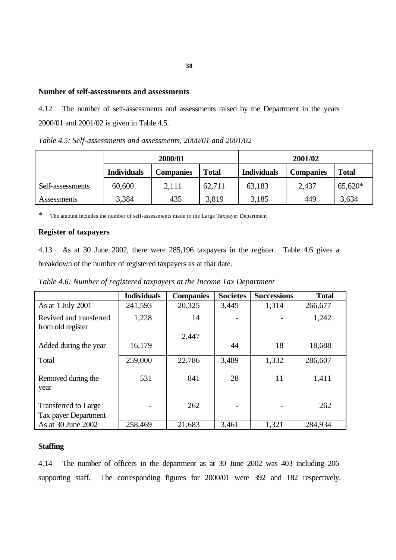#### **Number of self-assessments and assessments**

4.12 The number of self-assessments and assessments raised by the Department in the years 2000/01 and 2001/02 is given in Table 4.5.

*Table 4.5: Self-assessments and assessments, 2000/01 and 2001/02*

|                  |                    | 2000/01          |              |                    | 2001/02          |              |  |
|------------------|--------------------|------------------|--------------|--------------------|------------------|--------------|--|
|                  | <b>Individuals</b> | <b>Companies</b> | <b>Total</b> | <b>Individuals</b> | <b>Companies</b> | <b>Total</b> |  |
| Self-assessments | 60,600             | 2,111            | 62,711       | 63,183             | 2,437            | 65,620*      |  |
| Assessments      | 3,384              | 435              | 3,819        | 3,185              | 449              | 3,634        |  |

\* The amount includes the number of self-assessments made to the Large Taxpayer Department

#### **Register of taxpayers**

4.13 As at 30 June 2002, there were 285,196 taxpayers in the register. Table 4.6 gives a breakdown of the number of registered taxpayers as at that date.

*Table 4.6: Number of registered taxpayers at the Income Tax Department*

|                                                     | <b>Individuals</b> | <b>Companies</b> | <b>Societes</b> | <b>Successions</b> | <b>Total</b> |
|-----------------------------------------------------|--------------------|------------------|-----------------|--------------------|--------------|
| As at 1 July 2001                                   | 241,593            | 20,325           | 3,445           | 1,314              | 266,677      |
| Revived and transferred<br>from old register        | 1,228              | 14               |                 |                    | 1,242        |
|                                                     |                    | 2,447            |                 |                    |              |
| Added during the year                               | 16,179             |                  | 44              | 18                 | 18,688       |
| Total                                               | 259,000            | 22,786           | 3,489           | 1,332              | 286,607      |
| Removed during the<br>year                          | 531                | 841              | 28              | 11                 | 1,411        |
| <b>Transferred to Large</b><br>Tax payer Department |                    | 262              |                 |                    | 262          |
| As at 30 June 2002                                  | 258,469            | 21,683           | 3,461           | 1,321              | 284,934      |

#### **Staffing**

4.14 The number of officers in the department as at 30 June 2002 was 403 including 206 supporting staff. The corresponding figures for 2000/01 were 392 and 182 respectively.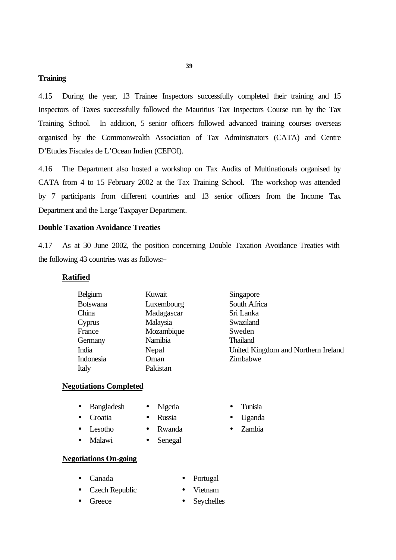#### **Training**

4.15 During the year, 13 Trainee Inspectors successfully completed their training and 15 Inspectors of Taxes successfully followed the Mauritius Tax Inspectors Course run by the Tax Training School. In addition, 5 senior officers followed advanced training courses overseas organised by the Commonwealth Association of Tax Administrators (CATA) and Centre D'Etudes Fiscales de L'Ocean Indien (CEFOI).

4.16 The Department also hosted a workshop on Tax Audits of Multinationals organised by CATA from 4 to 15 February 2002 at the Tax Training School. The workshop was attended by 7 participants from different countries and 13 senior officers from the Income Tax Department and the Large Taxpayer Department.

#### **Double Taxation Avoidance Treaties**

4.17 As at 30 June 2002, the position concerning Double Taxation Avoidance Treaties with the following 43 countries was as follows:–

#### **Ratified**

| Belgium         | Kuwait     | Singapore                           |
|-----------------|------------|-------------------------------------|
| <b>Botswana</b> | Luxembourg | South Africa                        |
| China           | Madagascar | Sri Lanka                           |
| Cyprus          | Malaysia   | Swaziland                           |
| France          | Mozambique | Sweden                              |
| Germany         | Namibia    | <b>Thailand</b>                     |
| India           | Nepal      | United Kingdom and Northern Ireland |
| Indonesia       | Oman       | Zimbabwe                            |
| Italy           | Pakistan   |                                     |
|                 |            |                                     |

#### **Negotiations Completed**

- Bangladesh Nigeria Tunisia
- Croatia Russia Uganda
- 
- 
- 
- 
- Malawi Senegal
- 
- 
- **Negotiations On-going**
	- Canada Portugal
	- Czech Republic Vietnam
	- Greece Seychelles
- 
- 
- Lesotho Rwanda Zambia
-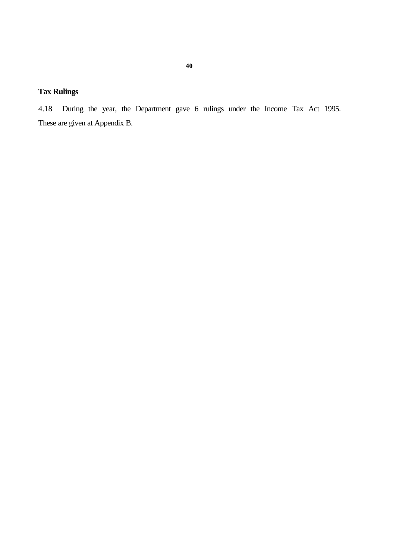### **Tax Rulings**

4.18 During the year, the Department gave 6 rulings under the Income Tax Act 1995. These are given at Appendix B.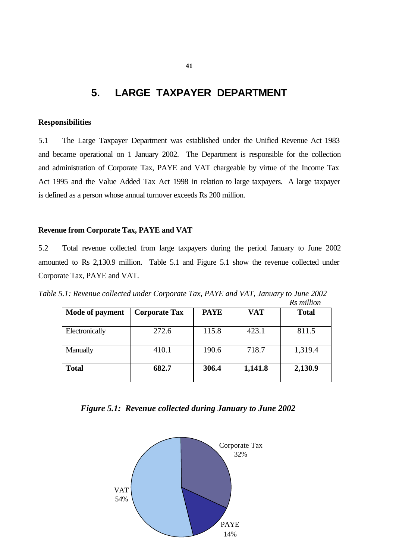### **5. LARGE TAXPAYER DEPARTMENT**

#### **Responsibilities**

5.1 The Large Taxpayer Department was established under the Unified Revenue Act 1983 and became operational on 1 January 2002. The Department is responsible for the collection and administration of Corporate Tax, PAYE and VAT chargeable by virtue of the Income Tax Act 1995 and the Value Added Tax Act 1998 in relation to large taxpayers. A large taxpayer is defined as a person whose annual turnover exceeds Rs 200 million.

#### **Revenue from Corporate Tax, PAYE and VAT**

5.2 Total revenue collected from large taxpayers during the period January to June 2002 amounted to Rs 2,130.9 million. Table 5.1 and Figure 5.1 show the revenue collected under Corporate Tax, PAYE and VAT.

*Table 5.1: Revenue collected under Corporate Tax, PAYE and VAT, January to June 2002 Rs million*

|                 |                      |             |            | IS Muuton    |
|-----------------|----------------------|-------------|------------|--------------|
| Mode of payment | <b>Corporate Tax</b> | <b>PAYE</b> | <b>VAT</b> | <b>Total</b> |
| Electronically  | 272.6                | 115.8       | 423.1      | 811.5        |
| Manually        | 410.1                | 190.6       | 718.7      | 1,319.4      |
| <b>Total</b>    | 682.7                | 306.4       | 1,141.8    | 2,130.9      |

*Figure 5.1: Revenue collected during January to June 2002*

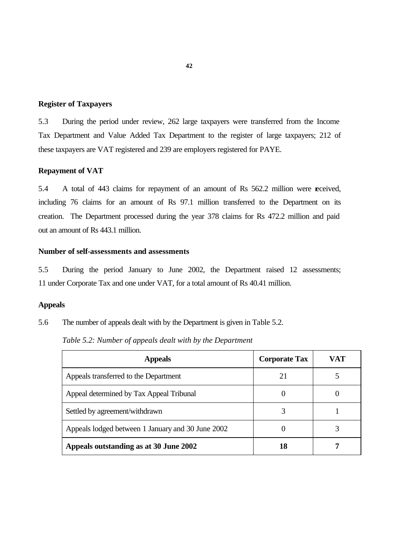#### **Register of Taxpayers**

5.3 During the period under review, 262 large taxpayers were transferred from the Income Tax Department and Value Added Tax Department to the register of large taxpayers; 212 of these taxpayers are VAT registered and 239 are employers registered for PAYE.

#### **Repayment of VAT**

5.4 A total of 443 claims for repayment of an amount of Rs 562.2 million were received, including 76 claims for an amount of Rs 97.1 million transferred to the Department on its creation. The Department processed during the year 378 claims for Rs 472.2 million and paid out an amount of Rs 443.1 million.

#### **Number of self-assessments and assessments**

5.5 During the period January to June 2002, the Department raised 12 assessments; 11 under Corporate Tax and one under VAT, for a total amount of Rs 40.41 million.

#### **Appeals**

5.6 The number of appeals dealt with by the Department is given in Table 5.2.

*Table 5.2: Number of appeals dealt with by the Department*

| <b>Appeals</b>                                    | <b>Corporate Tax</b> | VAT |
|---------------------------------------------------|----------------------|-----|
| Appeals transferred to the Department             | 21                   |     |
| Appeal determined by Tax Appeal Tribunal          | $\theta$             |     |
| Settled by agreement/withdrawn                    |                      |     |
| Appeals lodged between 1 January and 30 June 2002 |                      |     |
| Appeals outstanding as at 30 June 2002            | 18                   |     |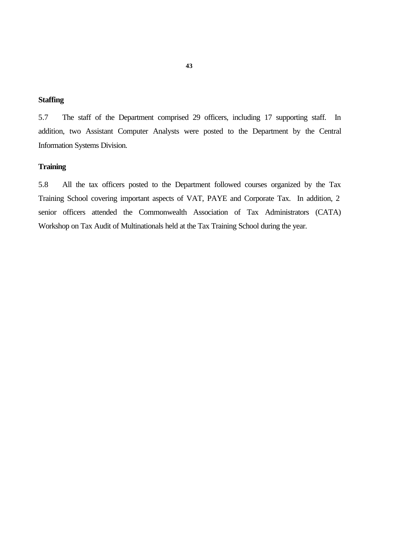#### **Staffing**

5.7 The staff of the Department comprised 29 officers, including 17 supporting staff. In addition, two Assistant Computer Analysts were posted to the Department by the Central Information Systems Division.

#### **Training**

5.8 All the tax officers posted to the Department followed courses organized by the Tax Training School covering important aspects of VAT, PAYE and Corporate Tax. In addition, 2 senior officers attended the Commonwealth Association of Tax Administrators (CATA) Workshop on Tax Audit of Multinationals held at the Tax Training School during the year.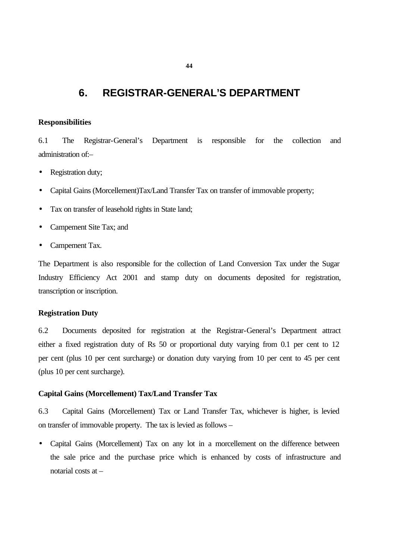### **6. REGISTRAR-GENERAL'S DEPARTMENT**

#### **Responsibilities**

6.1 The Registrar-General's Department is responsible for the collection and administration of:–

- Registration duty;
- Capital Gains (Morcellement)Tax/Land Transfer Tax on transfer of immovable property;
- Tax on transfer of leasehold rights in State land;
- Campement Site Tax; and
- Campement Tax.

The Department is also responsible for the collection of Land Conversion Tax under the Sugar Industry Efficiency Act 2001 and stamp duty on documents deposited for registration, transcription or inscription.

#### **Registration Duty**

6.2 Documents deposited for registration at the Registrar-General's Department attract either a fixed registration duty of Rs 50 or proportional duty varying from 0.1 per cent to 12 per cent (plus 10 per cent surcharge) or donation duty varying from 10 per cent to 45 per cent (plus 10 per cent surcharge).

#### **Capital Gains (Morcellement) Tax/Land Transfer Tax**

6.3 Capital Gains (Morcellement) Tax or Land Transfer Tax, whichever is higher, is levied on transfer of immovable property. The tax is levied as follows –

• Capital Gains (Morcellement) Tax on any lot in a morcellement on the difference between the sale price and the purchase price which is enhanced by costs of infrastructure and notarial costs at –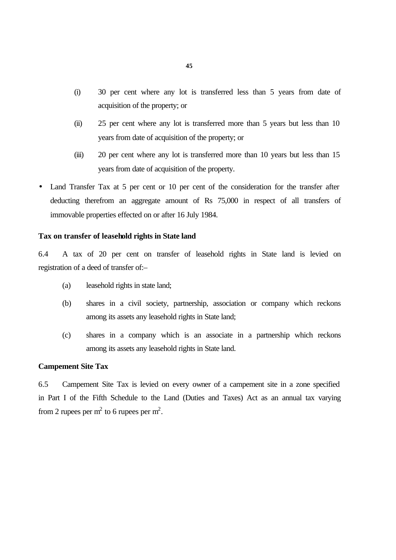- (i) 30 per cent where any lot is transferred less than 5 years from date of acquisition of the property; or
- (ii) 25 per cent where any lot is transferred more than 5 years but less than 10 years from date of acquisition of the property; or
- (iii) 20 per cent where any lot is transferred more than 10 years but less than 15 years from date of acquisition of the property.
- Land Transfer Tax at 5 per cent or 10 per cent of the consideration for the transfer after deducting therefrom an aggregate amount of Rs 75,000 in respect of all transfers of immovable properties effected on or after 16 July 1984.

#### **Tax on transfer of leasehold rights in State land**

6.4 A tax of 20 per cent on transfer of leasehold rights in State land is levied on registration of a deed of transfer of:–

- (a) leasehold rights in state land;
- (b) shares in a civil society, partnership, association or company which reckons among its assets any leasehold rights in State land;
- (c) shares in a company which is an associate in a partnership which reckons among its assets any leasehold rights in State land.

#### **Campement Site Tax**

6.5 Campement Site Tax is levied on every owner of a campement site in a zone specified in Part I of the Fifth Schedule to the Land (Duties and Taxes) Act as an annual tax varying from 2 rupees per  $m^2$  to 6 rupees per  $m^2$ .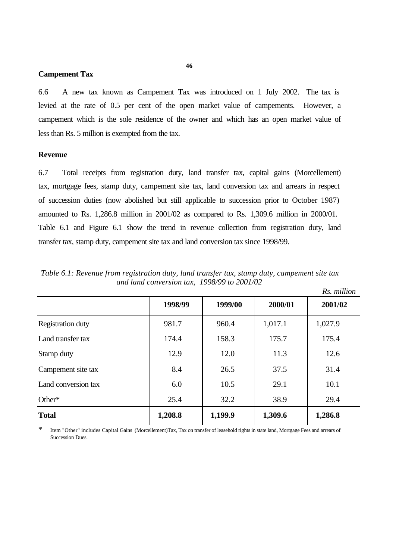#### **Campement Tax**

6.6 A new tax known as Campement Tax was introduced on 1 July 2002. The tax is levied at the rate of 0.5 per cent of the open market value of campements. However, a campement which is the sole residence of the owner and which has an open market value of less than Rs. 5 million is exempted from the tax.

#### **Revenue**

6.7 Total receipts from registration duty, land transfer tax, capital gains (Morcellement) tax, mortgage fees, stamp duty, campement site tax, land conversion tax and arrears in respect of succession duties (now abolished but still applicable to succession prior to October 1987) amounted to Rs. 1,286.8 million in 2001/02 as compared to Rs. 1,309.6 million in 2000/01. Table 6.1 and Figure 6.1 show the trend in revenue collection from registration duty, land transfer tax, stamp duty, campement site tax and land conversion tax since 1998/99.

|                          |         |         |         | KS. Mullon |
|--------------------------|---------|---------|---------|------------|
|                          | 1998/99 | 1999/00 | 2000/01 | 2001/02    |
| <b>Registration duty</b> | 981.7   | 960.4   | 1,017.1 | 1,027.9    |
| Land transfer tax        | 174.4   | 158.3   | 175.7   | 175.4      |
| Stamp duty               | 12.9    | 12.0    | 11.3    | 12.6       |
| Campement site tax       | 8.4     | 26.5    | 37.5    | 31.4       |
| Land conversion tax      | 6.0     | 10.5    | 29.1    | 10.1       |
| Other*                   | 25.4    | 32.2    | 38.9    | 29.4       |
| <b>Total</b>             | 1,208.8 | 1,199.9 | 1,309.6 | 1,286.8    |

*Table 6.1: Revenue from registration duty, land transfer tax, stamp duty, campement site tax and land conversion tax, 1998/99 to 2001/02 Rs. million*

\* Item "Other" includes Capital Gains (Morcellement)Tax, Tax on transfer of leasehold rights in state land, Mortgage Fees and arrears of Succession Dues.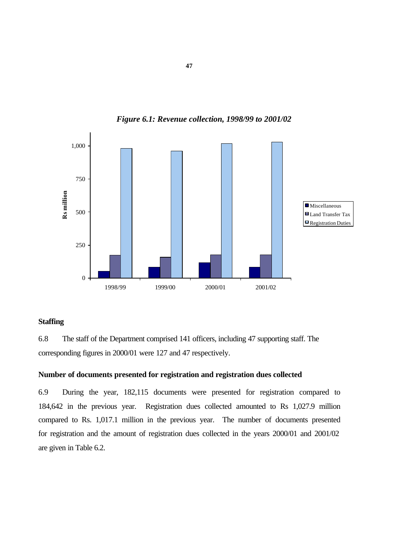

*Figure 6.1: Revenue collection, 1998/99 to 2001/02*

#### **Staffing**

6.8 The staff of the Department comprised 141 officers, including 47 supporting staff. The corresponding figures in 2000/01 were 127 and 47 respectively.

#### **Number of documents presented for registration and registration dues collected**

6.9 During the year, 182,115 documents were presented for registration compared to 184,642 in the previous year. Registration dues collected amounted to Rs 1,027.9 million compared to Rs. 1,017.1 million in the previous year. The number of documents presented for registration and the amount of registration dues collected in the years 2000/01 and 2001/02 are given in Table 6.2.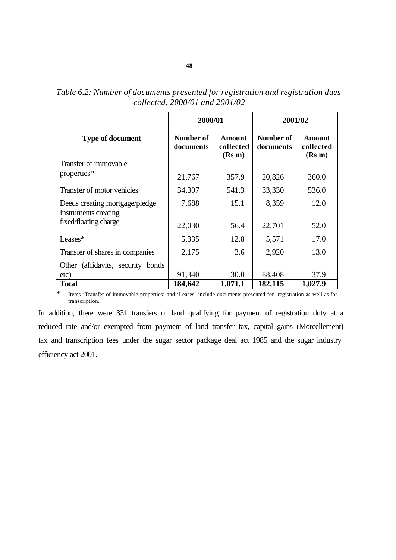|                                               | 2000/01                |                               | 2001/02                |                               |  |
|-----------------------------------------------|------------------------|-------------------------------|------------------------|-------------------------------|--|
| <b>Type of document</b>                       | Number of<br>documents | Amount<br>collected<br>(Rs m) | Number of<br>documents | Amount<br>collected<br>(Rs m) |  |
| Transfer of immovable                         |                        |                               |                        |                               |  |
| properties*                                   | 21,767                 | 357.9                         | 20,826                 | 360.0                         |  |
| Transfer of motor vehicles                    | 34,307                 | 541.3                         | 33,330                 | 536.0                         |  |
| Deeds creating mortgage/pledge                | 7,688                  | 15.1                          | 8,359                  | 12.0                          |  |
| Instruments creating<br>fixed/floating charge | 22,030                 | 56.4                          | 22,701                 | 52.0                          |  |
| Leases*                                       | 5,335                  | 12.8                          | 5,571                  | 17.0                          |  |
| Transfer of shares in companies               | 2,175                  | 3.6                           | 2,920                  | 13.0                          |  |
| Other (affidavits, security bonds)            |                        |                               |                        |                               |  |
| etc)                                          | 91,340                 | 30.0                          | 88,408                 | 37.9                          |  |
| <b>Total</b>                                  | 184,642                | 1,071.1                       | 182,115                | 1,027.9                       |  |

*Table 6.2: Number of documents presented for registration and registration dues collected, 2000/01 and 2001/02*

\* Items 'Transfer of immovable properties' and 'Leases' include documents presented for registration as well as for transcription.

In addition, there were 331 transfers of land qualifying for payment of registration duty at a reduced rate and/or exempted from payment of land transfer tax, capital gains (Morcellement) tax and transcription fees under the sugar sector package deal act 1985 and the sugar industry efficiency act 2001.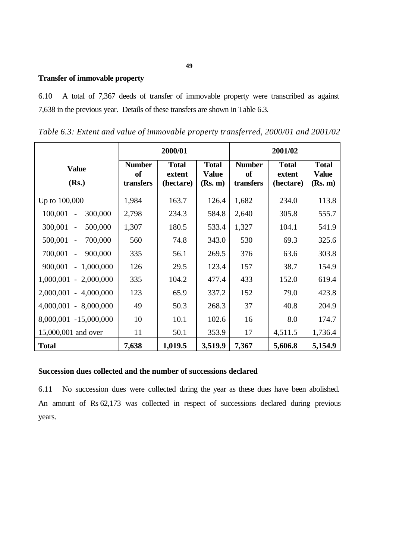#### **Transfer of immovable property**

6.10 A total of 7,367 deeds of transfer of immovable property were transcribed as against 7,638 in the previous year. Details of these transfers are shown in Table 6.3.

*Table 6.3: Extent and value of immovable property transferred, 2000/01 and 2001/02*

|                                      | 2000/01                          |                                     |                                         |                                  | 2001/02                             |                                         |
|--------------------------------------|----------------------------------|-------------------------------------|-----------------------------------------|----------------------------------|-------------------------------------|-----------------------------------------|
| <b>Value</b><br>(Rs.)                | <b>Number</b><br>of<br>transfers | <b>Total</b><br>extent<br>(hectare) | <b>Total</b><br><b>Value</b><br>(Rs. m) | <b>Number</b><br>of<br>transfers | <b>Total</b><br>extent<br>(hectare) | <b>Total</b><br><b>Value</b><br>(Rs. m) |
| Up to 100,000                        | 1,984                            | 163.7                               | 126.4                                   | 1,682                            | 234.0                               | 113.8                                   |
| 100,001<br>300,000<br>$\overline{a}$ | 2,798                            | 234.3                               | 584.8                                   | 2,640                            | 305.8                               | 555.7                                   |
| 300,001<br>500,000<br>$\sim$         | 1,307                            | 180.5                               | 533.4                                   | 1,327                            | 104.1                               | 541.9                                   |
| 500,001<br>700,000<br>$\frac{1}{2}$  | 560                              | 74.8                                | 343.0                                   | 530                              | 69.3                                | 325.6                                   |
| $700,001 -$<br>900,000               | 335                              | 56.1                                | 269.5                                   | 376                              | 63.6                                | 303.8                                   |
| 900,001<br>$-1,000,000$              | 126                              | 29.5                                | 123.4                                   | 157                              | 38.7                                | 154.9                                   |
| $1,000,001 - 2,000,000$              | 335                              | 104.2                               | 477.4                                   | 433                              | 152.0                               | 619.4                                   |
| $2,000,001 - 4,000,000$              | 123                              | 65.9                                | 337.2                                   | 152                              | 79.0                                | 423.8                                   |
| $4,000,001 - 8,000,000$              | 49                               | 50.3                                | 268.3                                   | 37                               | 40.8                                | 204.9                                   |
| 8,000,001 -15,000,000                | 10                               | 10.1                                | 102.6                                   | 16                               | 8.0                                 | 174.7                                   |
| 15,000,001 and over                  | 11                               | 50.1                                | 353.9                                   | 17                               | 4,511.5                             | 1,736.4                                 |
| <b>Total</b>                         | 7,638                            | 1,019.5                             | 3,519.9                                 | 7,367                            | 5,606.8                             | 5,154.9                                 |

### **Succession dues collected and the number of successions declared**

6.11 No succession dues were collected during the year as these dues have been abolished. An amount of Rs 62,173 was collected in respect of successions declared during previous years.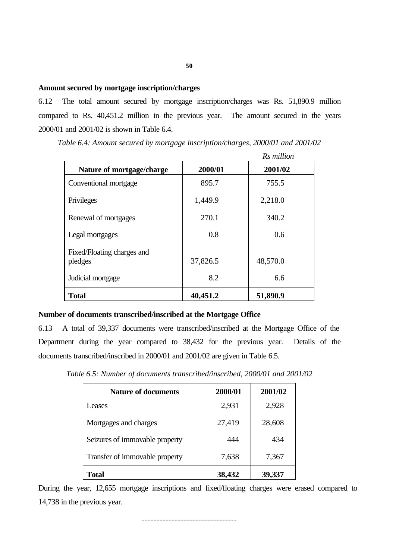#### **Amount secured by mortgage inscription/charges**

6.12 The total amount secured by mortgage inscription/charges was Rs. 51,890.9 million compared to Rs. 40,451.2 million in the previous year. The amount secured in the years 2000/01 and 2001/02 is shown in Table 6.4.

|                                       |          | Rs million |
|---------------------------------------|----------|------------|
| Nature of mortgage/charge             | 2000/01  | 2001/02    |
| Conventional mortgage                 | 895.7    | 755.5      |
| Privileges                            | 1,449.9  | 2,218.0    |
| Renewal of mortgages                  | 270.1    | 340.2      |
| Legal mortgages                       | 0.8      | 0.6        |
| Fixed/Floating charges and<br>pledges | 37,826.5 | 48,570.0   |
| Judicial mortgage                     | 8.2      | 6.6        |
| <b>Total</b>                          | 40,451.2 | 51,890.9   |

*Table 6.4: Amount secured by mortgage inscription/charges, 2000/01 and 2001/02*

#### **Number of documents transcribed/inscribed at the Mortgage Office**

6.13 A total of 39,337 documents were transcribed/inscribed at the Mortgage Office of the Department during the year compared to 38,432 for the previous year. Details of the documents transcribed/inscribed in 2000/01 and 2001/02 are given in Table 6.5.

*Table 6.5: Number of documents transcribed/inscribed, 2000/01 and 2001/02*

| <b>Nature of documents</b>     | 2000/01 | 2001/02 |
|--------------------------------|---------|---------|
| Leases                         | 2,931   | 2,928   |
| Mortgages and charges          | 27,419  | 28,608  |
| Seizures of immovable property | 444     | 434     |
| Transfer of immovable property | 7,638   | 7,367   |
| Total                          | 38,432  | 39,337  |

During the year, 12,655 mortgage inscriptions and fixed/floating charges were erased compared to 14,738 in the previous year.

--------------------------------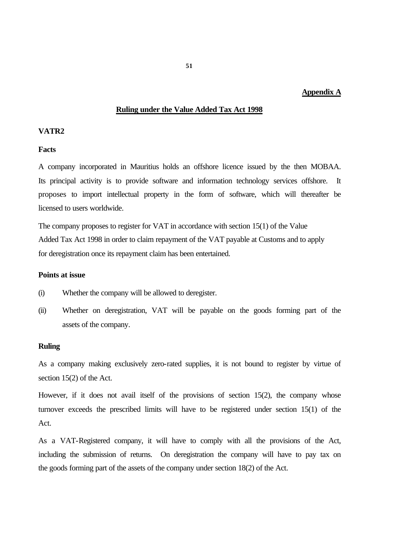### **Appendix A**

#### **Ruling under the Value Added Tax Act 1998**

#### **VATR2**

#### **Facts**

A company incorporated in Mauritius holds an offshore licence issued by the then MOBAA. Its principal activity is to provide software and information technology services offshore. It proposes to import intellectual property in the form of software, which will thereafter be licensed to users worldwide.

The company proposes to register for VAT in accordance with section 15(1) of the Value Added Tax Act 1998 in order to claim repayment of the VAT payable at Customs and to apply for deregistration once its repayment claim has been entertained.

#### **Points at issue**

- (i) Whether the company will be allowed to deregister.
- (ii) Whether on deregistration, VAT will be payable on the goods forming part of the assets of the company.

#### **Ruling**

As a company making exclusively zero-rated supplies, it is not bound to register by virtue of section 15(2) of the Act.

However, if it does not avail itself of the provisions of section 15(2), the company whose turnover exceeds the prescribed limits will have to be registered under section 15(1) of the Act.

As a VAT-Registered company, it will have to comply with all the provisions of the Act, including the submission of returns. On deregistration the company will have to pay tax on the goods forming part of the assets of the company under section 18(2) of the Act.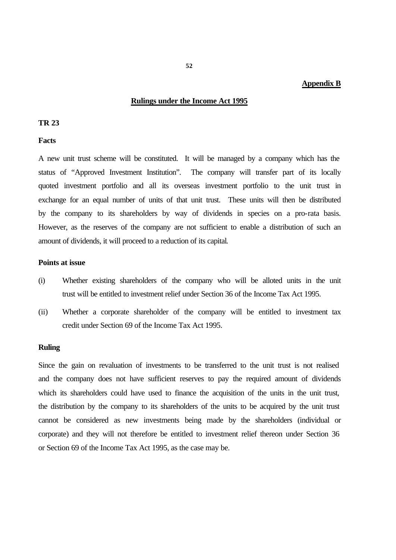#### **Appendix B**

#### **Rulings under the Income Act 1995**

#### **TR 23**

#### **Facts**

A new unit trust scheme will be constituted. It will be managed by a company which has the status of "Approved Investment Institution". The company will transfer part of its locally quoted investment portfolio and all its overseas investment portfolio to the unit trust in exchange for an equal number of units of that unit trust. These units will then be distributed by the company to its shareholders by way of dividends in species on a pro-rata basis. However, as the reserves of the company are not sufficient to enable a distribution of such an amount of dividends, it will proceed to a reduction of its capital.

#### **Points at issue**

- (i) Whether existing shareholders of the company who will be alloted units in the unit trust will be entitled to investment relief under Section 36 of the Income Tax Act 1995.
- (ii) Whether a corporate shareholder of the company will be entitled to investment tax credit under Section 69 of the Income Tax Act 1995.

#### **Ruling**

Since the gain on revaluation of investments to be transferred to the unit trust is not realised and the company does not have sufficient reserves to pay the required amount of dividends which its shareholders could have used to finance the acquisition of the units in the unit trust, the distribution by the company to its shareholders of the units to be acquired by the unit trust cannot be considered as new investments being made by the shareholders (individual or corporate) and they will not therefore be entitled to investment relief thereon under Section 36 or Section 69 of the Income Tax Act 1995, as the case may be.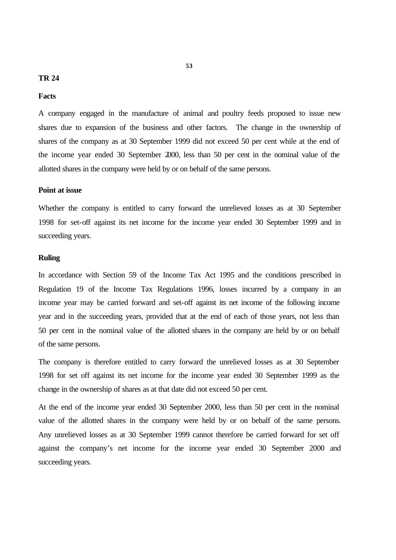#### **TR 24**

#### **Facts**

A company engaged in the manufacture of animal and poultry feeds proposed to issue new shares due to expansion of the business and other factors. The change in the ownership of shares of the company as at 30 September 1999 did not exceed 50 per cent while at the end of the income year ended 30 September 2000, less than 50 per cent in the nominal value of the allotted shares in the company were held by or on behalf of the same persons.

#### **Point at issue**

Whether the company is entitled to carry forward the unrelieved losses as at 30 September 1998 for set-off against its net income for the income year ended 30 September 1999 and in succeeding years.

#### **Ruling**

In accordance with Section 59 of the Income Tax Act 1995 and the conditions prescribed in Regulation 19 of the Income Tax Regulations 1996, losses incurred by a company in an income year may be carried forward and set-off against its net income of the following income year and in the succeeding years, provided that at the end of each of those years, not less than 50 per cent in the nominal value of the allotted shares in the company are held by or on behalf of the same persons.

The company is therefore entitled to carry forward the unrelieved losses as at 30 September 1998 for set off against its net income for the income year ended 30 September 1999 as the change in the ownership of shares as at that date did not exceed 50 per cent.

At the end of the income year ended 30 September 2000, less than 50 per cent in the nominal value of the allotted shares in the company were held by or on behalf of the same persons. Any unrelieved losses as at 30 September 1999 cannot therefore be carried forward for set off against the company's net income for the income year ended 30 September 2000 and succeeding years.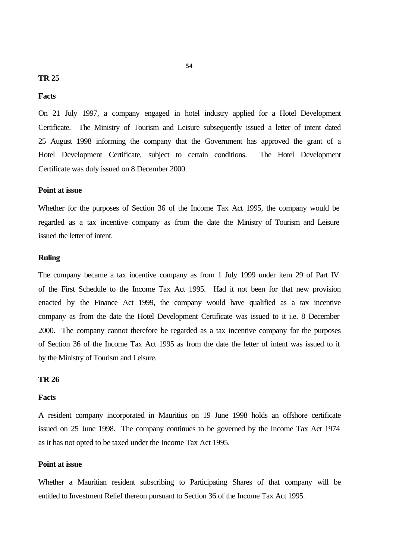#### **TR 25**

#### **Facts**

On 21 July 1997, a company engaged in hotel industry applied for a Hotel Development Certificate. The Ministry of Tourism and Leisure subsequently issued a letter of intent dated 25 August 1998 informing the company that the Government has approved the grant of a Hotel Development Certificate, subject to certain conditions. The Hotel Development Certificate was duly issued on 8 December 2000.

#### **Point at issue**

Whether for the purposes of Section 36 of the Income Tax Act 1995, the company would be regarded as a tax incentive company as from the date the Ministry of Tourism and Leisure issued the letter of intent.

#### **Ruling**

The company became a tax incentive company as from 1 July 1999 under item 29 of Part IV of the First Schedule to the Income Tax Act 1995. Had it not been for that new provision enacted by the Finance Act 1999, the company would have qualified as a tax incentive company as from the date the Hotel Development Certificate was issued to it i.e. 8 December 2000. The company cannot therefore be regarded as a tax incentive company for the purposes of Section 36 of the Income Tax Act 1995 as from the date the letter of intent was issued to it by the Ministry of Tourism and Leisure.

#### **TR 26**

#### **Facts**

A resident company incorporated in Mauritius on 19 June 1998 holds an offshore certificate issued on 25 June 1998. The company continues to be governed by the Income Tax Act 1974 as it has not opted to be taxed under the Income Tax Act 1995.

#### **Point at issue**

Whether a Mauritian resident subscribing to Participating Shares of that company will be entitled to Investment Relief thereon pursuant to Section 36 of the Income Tax Act 1995.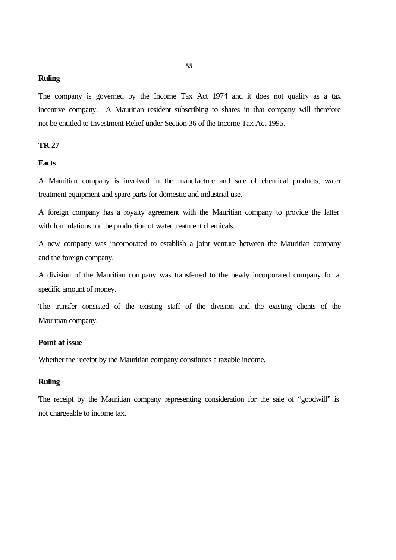#### **Ruling**

The company is governed by the Income Tax Act 1974 and it does not qualify as a tax incentive company. A Mauritian resident subscribing to shares in that company will therefore not be entitled to Investment Relief under Section 36 of the Income Tax Act 1995.

### **TR 27**

#### **Facts**

A Mauritian company is involved in the manufacture and sale of chemical products, water treatment equipment and spare parts for domestic and industrial use.

A foreign company has a royalty agreement with the Mauritian company to provide the latter with formulations for the production of water treatment chemicals.

A new company was incorporated to establish a joint venture between the Mauritian company and the foreign company.

A division of the Mauritian company was transferred to the newly incorporated company for a specific amount of money.

The transfer consisted of the existing staff of the division and the existing clients of the Mauritian company.

#### **Point at issue**

Whether the receipt by the Mauritian company constitutes a taxable income.

#### **Ruling**

The receipt by the Mauritian company representing consideration for the sale of "goodwill" is not chargeable to income tax.